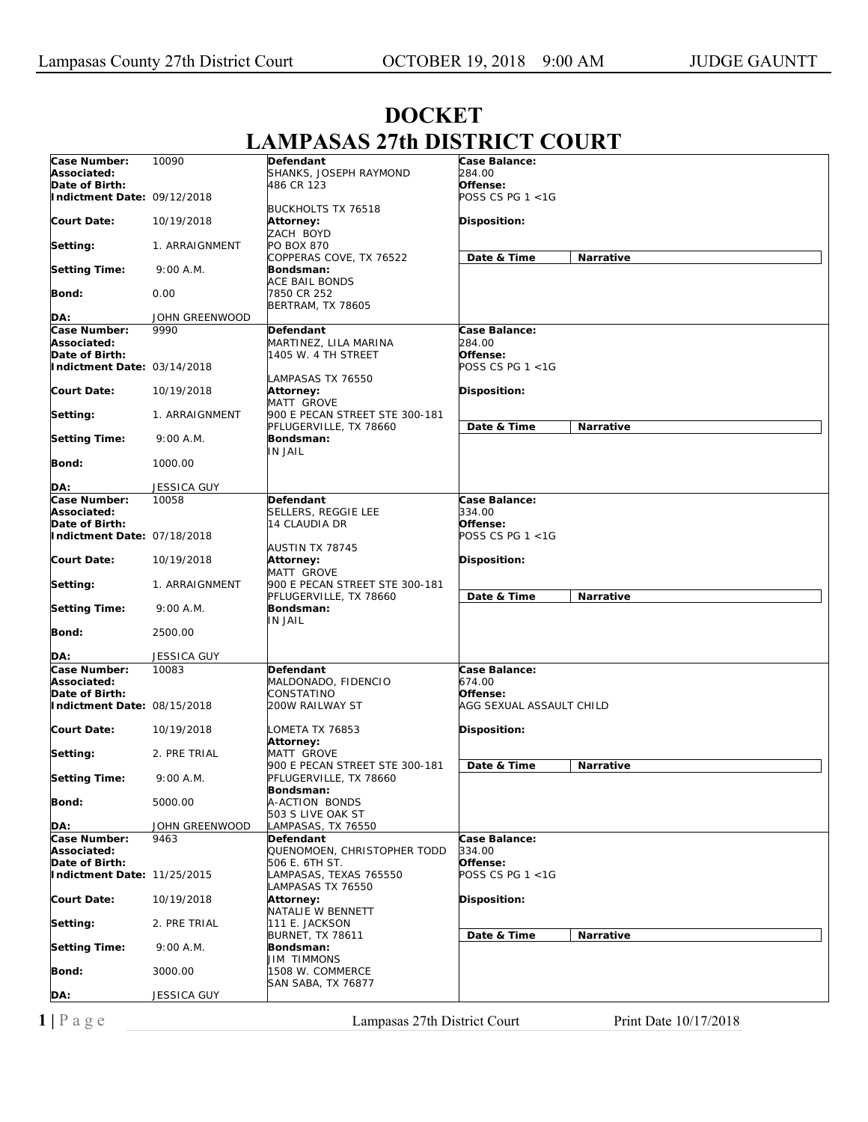| 10090<br>Case Balance:<br>Case Number:<br>Defendant<br>Associated:<br>SHANKS, JOSEPH RAYMOND<br>284.00<br>Date of Birth:<br>Offense:<br>486 CR 123<br>POSS CS PG 1 <1G<br>Indictment Date: 09/12/2018<br><b>BUCKHOLTS TX 76518</b><br><b>Court Date:</b><br>Disposition:<br>10/19/2018<br>Attorney:<br>ZACH BOYD<br>PO BOX 870<br>Setting:<br>1. ARRAIGNMENT<br>Date & Time<br>Narrative<br>COPPERAS COVE, TX 76522<br><b>Setting Time:</b><br>9:00 A.M.<br>Bondsman:<br>ACE BAIL BONDS<br>0.00<br>7850 CR 252<br>Bond:<br><b>BERTRAM, TX 78605</b><br>JOHN GREENWOOD<br>DA:<br>Case Number:<br>9990<br>Case Balance:<br>Defendant<br>284.00<br>Associated:<br>MARTINEZ, LILA MARINA<br>Offense:<br>Date of Birth:<br>1405 W. 4 TH STREET<br>POSS CS PG 1 <1G<br>Indictment Date: 03/14/2018<br>LAMPASAS TX 76550<br><b>Court Date:</b><br>Disposition:<br>10/19/2018<br><b>Attorney:</b><br>MATT GROVE<br>900 E PECAN STREET STE 300-181<br>Setting:<br>1. ARRAIGNMENT<br>Date & Time<br>Narrative<br>PFLUGERVILLE, TX 78660<br><b>Setting Time:</b><br>9:00 A.M.<br>Bondsman:<br>IN JAIL<br>Bond:<br>1000.00<br>DA:<br>JESSICA GUY<br>Case Number:<br>Case Balance:<br>10058<br>Defendant<br>Associated:<br>SELLERS, REGGIE LEE<br>334.00<br>Date of Birth:<br>Offense:<br>14 CLAUDIA DR<br>POSS CS PG 1 <1G<br>Indictment Date: 07/18/2018<br>AUSTIN TX 78745<br><b>Court Date:</b><br>10/19/2018<br>Attorney:<br>Disposition:<br>MATT GROVE<br>900 E PECAN STREET STE 300-181<br>Setting:<br>1. ARRAIGNMENT<br>Date & Time<br>Narrative<br>PFLUGERVILLE, TX 78660<br><b>Setting Time:</b><br>9:00 A.M.<br>Bondsman:<br>IN JAIL<br>Bond:<br>2500.00<br><b>JESSICA GUY</b><br>DA:<br>Case Number:<br>Case Balance:<br>10083<br>Defendant<br>674.00<br>Associated:<br>MALDONADO, FIDENCIO<br>Date of Birth:<br>CONSTATINO<br>Offense:<br>Indictment Date: 08/15/2018<br>AGG SEXUAL ASSAULT CHILD<br>200W RAILWAY ST<br><b>Court Date:</b><br>Disposition:<br>10/19/2018<br>LOMETA TX 76853<br>Attorney:<br>Setting:<br>2. PRE TRIAL<br><b>MATT GROVE</b><br>900 E PECAN STREET STE 300-181<br>Date & Time<br>Narrative<br>9:00 A.M.<br>PFLUGERVILLE, TX 78660<br>Bondsman:<br>A-ACTION BONDS<br>5000.00<br>Bond:<br>503 S LIVE OAK ST<br>JOHN GREENWOOD<br>DA:<br>LAMPASAS, TX 76550<br>Case Number:<br>9463<br>Case Balance:<br>Defendant<br>QUENOMOEN, CHRISTOPHER TODD<br>334.00<br>Associated:<br>Date of Birth:<br>506 E. 6TH ST.<br>Offense:<br>Indictment Date: 11/25/2015<br>POSS CS PG 1 <1G<br>LAMPASAS, TEXAS 765550<br>LAMPASAS TX 76550<br><b>Disposition:</b><br><b>Court Date:</b><br>10/19/2018<br>Attorney:<br>NATALIE W BENNETT<br>111 E. JACKSON<br>Setting:<br>2. PRE TRIAL<br>Date & Time<br><b>BURNET, TX 78611</b><br>Narrative<br><b>Setting Time:</b><br>9:00 A.M.<br>Bondsman:<br><b>JIM TIMMONS</b><br>1508 W. COMMERCE<br>Bond:<br>3000.00<br>SAN SABA, TX 76877<br>DA:<br><b>JESSICA GUY</b> |                      | LITTLE LAULAU |  |
|----------------------------------------------------------------------------------------------------------------------------------------------------------------------------------------------------------------------------------------------------------------------------------------------------------------------------------------------------------------------------------------------------------------------------------------------------------------------------------------------------------------------------------------------------------------------------------------------------------------------------------------------------------------------------------------------------------------------------------------------------------------------------------------------------------------------------------------------------------------------------------------------------------------------------------------------------------------------------------------------------------------------------------------------------------------------------------------------------------------------------------------------------------------------------------------------------------------------------------------------------------------------------------------------------------------------------------------------------------------------------------------------------------------------------------------------------------------------------------------------------------------------------------------------------------------------------------------------------------------------------------------------------------------------------------------------------------------------------------------------------------------------------------------------------------------------------------------------------------------------------------------------------------------------------------------------------------------------------------------------------------------------------------------------------------------------------------------------------------------------------------------------------------------------------------------------------------------------------------------------------------------------------------------------------------------------------------------------------------------------------------------------------------------------------------------------------------------------------------------------------------------------------------------------------------------------------------------------------------------------------------------------------------------------------------------------------------------------------------------------------------------------------------------------------------------------------------------------------------------------------------------------------------------------------|----------------------|---------------|--|
|                                                                                                                                                                                                                                                                                                                                                                                                                                                                                                                                                                                                                                                                                                                                                                                                                                                                                                                                                                                                                                                                                                                                                                                                                                                                                                                                                                                                                                                                                                                                                                                                                                                                                                                                                                                                                                                                                                                                                                                                                                                                                                                                                                                                                                                                                                                                                                                                                                                                                                                                                                                                                                                                                                                                                                                                                                                                                                                            |                      |               |  |
|                                                                                                                                                                                                                                                                                                                                                                                                                                                                                                                                                                                                                                                                                                                                                                                                                                                                                                                                                                                                                                                                                                                                                                                                                                                                                                                                                                                                                                                                                                                                                                                                                                                                                                                                                                                                                                                                                                                                                                                                                                                                                                                                                                                                                                                                                                                                                                                                                                                                                                                                                                                                                                                                                                                                                                                                                                                                                                                            |                      |               |  |
|                                                                                                                                                                                                                                                                                                                                                                                                                                                                                                                                                                                                                                                                                                                                                                                                                                                                                                                                                                                                                                                                                                                                                                                                                                                                                                                                                                                                                                                                                                                                                                                                                                                                                                                                                                                                                                                                                                                                                                                                                                                                                                                                                                                                                                                                                                                                                                                                                                                                                                                                                                                                                                                                                                                                                                                                                                                                                                                            |                      |               |  |
|                                                                                                                                                                                                                                                                                                                                                                                                                                                                                                                                                                                                                                                                                                                                                                                                                                                                                                                                                                                                                                                                                                                                                                                                                                                                                                                                                                                                                                                                                                                                                                                                                                                                                                                                                                                                                                                                                                                                                                                                                                                                                                                                                                                                                                                                                                                                                                                                                                                                                                                                                                                                                                                                                                                                                                                                                                                                                                                            |                      |               |  |
|                                                                                                                                                                                                                                                                                                                                                                                                                                                                                                                                                                                                                                                                                                                                                                                                                                                                                                                                                                                                                                                                                                                                                                                                                                                                                                                                                                                                                                                                                                                                                                                                                                                                                                                                                                                                                                                                                                                                                                                                                                                                                                                                                                                                                                                                                                                                                                                                                                                                                                                                                                                                                                                                                                                                                                                                                                                                                                                            |                      |               |  |
|                                                                                                                                                                                                                                                                                                                                                                                                                                                                                                                                                                                                                                                                                                                                                                                                                                                                                                                                                                                                                                                                                                                                                                                                                                                                                                                                                                                                                                                                                                                                                                                                                                                                                                                                                                                                                                                                                                                                                                                                                                                                                                                                                                                                                                                                                                                                                                                                                                                                                                                                                                                                                                                                                                                                                                                                                                                                                                                            |                      |               |  |
|                                                                                                                                                                                                                                                                                                                                                                                                                                                                                                                                                                                                                                                                                                                                                                                                                                                                                                                                                                                                                                                                                                                                                                                                                                                                                                                                                                                                                                                                                                                                                                                                                                                                                                                                                                                                                                                                                                                                                                                                                                                                                                                                                                                                                                                                                                                                                                                                                                                                                                                                                                                                                                                                                                                                                                                                                                                                                                                            |                      |               |  |
|                                                                                                                                                                                                                                                                                                                                                                                                                                                                                                                                                                                                                                                                                                                                                                                                                                                                                                                                                                                                                                                                                                                                                                                                                                                                                                                                                                                                                                                                                                                                                                                                                                                                                                                                                                                                                                                                                                                                                                                                                                                                                                                                                                                                                                                                                                                                                                                                                                                                                                                                                                                                                                                                                                                                                                                                                                                                                                                            |                      |               |  |
|                                                                                                                                                                                                                                                                                                                                                                                                                                                                                                                                                                                                                                                                                                                                                                                                                                                                                                                                                                                                                                                                                                                                                                                                                                                                                                                                                                                                                                                                                                                                                                                                                                                                                                                                                                                                                                                                                                                                                                                                                                                                                                                                                                                                                                                                                                                                                                                                                                                                                                                                                                                                                                                                                                                                                                                                                                                                                                                            |                      |               |  |
|                                                                                                                                                                                                                                                                                                                                                                                                                                                                                                                                                                                                                                                                                                                                                                                                                                                                                                                                                                                                                                                                                                                                                                                                                                                                                                                                                                                                                                                                                                                                                                                                                                                                                                                                                                                                                                                                                                                                                                                                                                                                                                                                                                                                                                                                                                                                                                                                                                                                                                                                                                                                                                                                                                                                                                                                                                                                                                                            |                      |               |  |
|                                                                                                                                                                                                                                                                                                                                                                                                                                                                                                                                                                                                                                                                                                                                                                                                                                                                                                                                                                                                                                                                                                                                                                                                                                                                                                                                                                                                                                                                                                                                                                                                                                                                                                                                                                                                                                                                                                                                                                                                                                                                                                                                                                                                                                                                                                                                                                                                                                                                                                                                                                                                                                                                                                                                                                                                                                                                                                                            |                      |               |  |
|                                                                                                                                                                                                                                                                                                                                                                                                                                                                                                                                                                                                                                                                                                                                                                                                                                                                                                                                                                                                                                                                                                                                                                                                                                                                                                                                                                                                                                                                                                                                                                                                                                                                                                                                                                                                                                                                                                                                                                                                                                                                                                                                                                                                                                                                                                                                                                                                                                                                                                                                                                                                                                                                                                                                                                                                                                                                                                                            |                      |               |  |
|                                                                                                                                                                                                                                                                                                                                                                                                                                                                                                                                                                                                                                                                                                                                                                                                                                                                                                                                                                                                                                                                                                                                                                                                                                                                                                                                                                                                                                                                                                                                                                                                                                                                                                                                                                                                                                                                                                                                                                                                                                                                                                                                                                                                                                                                                                                                                                                                                                                                                                                                                                                                                                                                                                                                                                                                                                                                                                                            |                      |               |  |
|                                                                                                                                                                                                                                                                                                                                                                                                                                                                                                                                                                                                                                                                                                                                                                                                                                                                                                                                                                                                                                                                                                                                                                                                                                                                                                                                                                                                                                                                                                                                                                                                                                                                                                                                                                                                                                                                                                                                                                                                                                                                                                                                                                                                                                                                                                                                                                                                                                                                                                                                                                                                                                                                                                                                                                                                                                                                                                                            |                      |               |  |
|                                                                                                                                                                                                                                                                                                                                                                                                                                                                                                                                                                                                                                                                                                                                                                                                                                                                                                                                                                                                                                                                                                                                                                                                                                                                                                                                                                                                                                                                                                                                                                                                                                                                                                                                                                                                                                                                                                                                                                                                                                                                                                                                                                                                                                                                                                                                                                                                                                                                                                                                                                                                                                                                                                                                                                                                                                                                                                                            |                      |               |  |
|                                                                                                                                                                                                                                                                                                                                                                                                                                                                                                                                                                                                                                                                                                                                                                                                                                                                                                                                                                                                                                                                                                                                                                                                                                                                                                                                                                                                                                                                                                                                                                                                                                                                                                                                                                                                                                                                                                                                                                                                                                                                                                                                                                                                                                                                                                                                                                                                                                                                                                                                                                                                                                                                                                                                                                                                                                                                                                                            |                      |               |  |
|                                                                                                                                                                                                                                                                                                                                                                                                                                                                                                                                                                                                                                                                                                                                                                                                                                                                                                                                                                                                                                                                                                                                                                                                                                                                                                                                                                                                                                                                                                                                                                                                                                                                                                                                                                                                                                                                                                                                                                                                                                                                                                                                                                                                                                                                                                                                                                                                                                                                                                                                                                                                                                                                                                                                                                                                                                                                                                                            |                      |               |  |
|                                                                                                                                                                                                                                                                                                                                                                                                                                                                                                                                                                                                                                                                                                                                                                                                                                                                                                                                                                                                                                                                                                                                                                                                                                                                                                                                                                                                                                                                                                                                                                                                                                                                                                                                                                                                                                                                                                                                                                                                                                                                                                                                                                                                                                                                                                                                                                                                                                                                                                                                                                                                                                                                                                                                                                                                                                                                                                                            |                      |               |  |
|                                                                                                                                                                                                                                                                                                                                                                                                                                                                                                                                                                                                                                                                                                                                                                                                                                                                                                                                                                                                                                                                                                                                                                                                                                                                                                                                                                                                                                                                                                                                                                                                                                                                                                                                                                                                                                                                                                                                                                                                                                                                                                                                                                                                                                                                                                                                                                                                                                                                                                                                                                                                                                                                                                                                                                                                                                                                                                                            |                      |               |  |
|                                                                                                                                                                                                                                                                                                                                                                                                                                                                                                                                                                                                                                                                                                                                                                                                                                                                                                                                                                                                                                                                                                                                                                                                                                                                                                                                                                                                                                                                                                                                                                                                                                                                                                                                                                                                                                                                                                                                                                                                                                                                                                                                                                                                                                                                                                                                                                                                                                                                                                                                                                                                                                                                                                                                                                                                                                                                                                                            |                      |               |  |
|                                                                                                                                                                                                                                                                                                                                                                                                                                                                                                                                                                                                                                                                                                                                                                                                                                                                                                                                                                                                                                                                                                                                                                                                                                                                                                                                                                                                                                                                                                                                                                                                                                                                                                                                                                                                                                                                                                                                                                                                                                                                                                                                                                                                                                                                                                                                                                                                                                                                                                                                                                                                                                                                                                                                                                                                                                                                                                                            |                      |               |  |
|                                                                                                                                                                                                                                                                                                                                                                                                                                                                                                                                                                                                                                                                                                                                                                                                                                                                                                                                                                                                                                                                                                                                                                                                                                                                                                                                                                                                                                                                                                                                                                                                                                                                                                                                                                                                                                                                                                                                                                                                                                                                                                                                                                                                                                                                                                                                                                                                                                                                                                                                                                                                                                                                                                                                                                                                                                                                                                                            |                      |               |  |
|                                                                                                                                                                                                                                                                                                                                                                                                                                                                                                                                                                                                                                                                                                                                                                                                                                                                                                                                                                                                                                                                                                                                                                                                                                                                                                                                                                                                                                                                                                                                                                                                                                                                                                                                                                                                                                                                                                                                                                                                                                                                                                                                                                                                                                                                                                                                                                                                                                                                                                                                                                                                                                                                                                                                                                                                                                                                                                                            |                      |               |  |
|                                                                                                                                                                                                                                                                                                                                                                                                                                                                                                                                                                                                                                                                                                                                                                                                                                                                                                                                                                                                                                                                                                                                                                                                                                                                                                                                                                                                                                                                                                                                                                                                                                                                                                                                                                                                                                                                                                                                                                                                                                                                                                                                                                                                                                                                                                                                                                                                                                                                                                                                                                                                                                                                                                                                                                                                                                                                                                                            |                      |               |  |
|                                                                                                                                                                                                                                                                                                                                                                                                                                                                                                                                                                                                                                                                                                                                                                                                                                                                                                                                                                                                                                                                                                                                                                                                                                                                                                                                                                                                                                                                                                                                                                                                                                                                                                                                                                                                                                                                                                                                                                                                                                                                                                                                                                                                                                                                                                                                                                                                                                                                                                                                                                                                                                                                                                                                                                                                                                                                                                                            |                      |               |  |
|                                                                                                                                                                                                                                                                                                                                                                                                                                                                                                                                                                                                                                                                                                                                                                                                                                                                                                                                                                                                                                                                                                                                                                                                                                                                                                                                                                                                                                                                                                                                                                                                                                                                                                                                                                                                                                                                                                                                                                                                                                                                                                                                                                                                                                                                                                                                                                                                                                                                                                                                                                                                                                                                                                                                                                                                                                                                                                                            |                      |               |  |
|                                                                                                                                                                                                                                                                                                                                                                                                                                                                                                                                                                                                                                                                                                                                                                                                                                                                                                                                                                                                                                                                                                                                                                                                                                                                                                                                                                                                                                                                                                                                                                                                                                                                                                                                                                                                                                                                                                                                                                                                                                                                                                                                                                                                                                                                                                                                                                                                                                                                                                                                                                                                                                                                                                                                                                                                                                                                                                                            |                      |               |  |
|                                                                                                                                                                                                                                                                                                                                                                                                                                                                                                                                                                                                                                                                                                                                                                                                                                                                                                                                                                                                                                                                                                                                                                                                                                                                                                                                                                                                                                                                                                                                                                                                                                                                                                                                                                                                                                                                                                                                                                                                                                                                                                                                                                                                                                                                                                                                                                                                                                                                                                                                                                                                                                                                                                                                                                                                                                                                                                                            | <b>Setting Time:</b> |               |  |
|                                                                                                                                                                                                                                                                                                                                                                                                                                                                                                                                                                                                                                                                                                                                                                                                                                                                                                                                                                                                                                                                                                                                                                                                                                                                                                                                                                                                                                                                                                                                                                                                                                                                                                                                                                                                                                                                                                                                                                                                                                                                                                                                                                                                                                                                                                                                                                                                                                                                                                                                                                                                                                                                                                                                                                                                                                                                                                                            |                      |               |  |
|                                                                                                                                                                                                                                                                                                                                                                                                                                                                                                                                                                                                                                                                                                                                                                                                                                                                                                                                                                                                                                                                                                                                                                                                                                                                                                                                                                                                                                                                                                                                                                                                                                                                                                                                                                                                                                                                                                                                                                                                                                                                                                                                                                                                                                                                                                                                                                                                                                                                                                                                                                                                                                                                                                                                                                                                                                                                                                                            |                      |               |  |
|                                                                                                                                                                                                                                                                                                                                                                                                                                                                                                                                                                                                                                                                                                                                                                                                                                                                                                                                                                                                                                                                                                                                                                                                                                                                                                                                                                                                                                                                                                                                                                                                                                                                                                                                                                                                                                                                                                                                                                                                                                                                                                                                                                                                                                                                                                                                                                                                                                                                                                                                                                                                                                                                                                                                                                                                                                                                                                                            |                      |               |  |
|                                                                                                                                                                                                                                                                                                                                                                                                                                                                                                                                                                                                                                                                                                                                                                                                                                                                                                                                                                                                                                                                                                                                                                                                                                                                                                                                                                                                                                                                                                                                                                                                                                                                                                                                                                                                                                                                                                                                                                                                                                                                                                                                                                                                                                                                                                                                                                                                                                                                                                                                                                                                                                                                                                                                                                                                                                                                                                                            |                      |               |  |
|                                                                                                                                                                                                                                                                                                                                                                                                                                                                                                                                                                                                                                                                                                                                                                                                                                                                                                                                                                                                                                                                                                                                                                                                                                                                                                                                                                                                                                                                                                                                                                                                                                                                                                                                                                                                                                                                                                                                                                                                                                                                                                                                                                                                                                                                                                                                                                                                                                                                                                                                                                                                                                                                                                                                                                                                                                                                                                                            |                      |               |  |
|                                                                                                                                                                                                                                                                                                                                                                                                                                                                                                                                                                                                                                                                                                                                                                                                                                                                                                                                                                                                                                                                                                                                                                                                                                                                                                                                                                                                                                                                                                                                                                                                                                                                                                                                                                                                                                                                                                                                                                                                                                                                                                                                                                                                                                                                                                                                                                                                                                                                                                                                                                                                                                                                                                                                                                                                                                                                                                                            |                      |               |  |
|                                                                                                                                                                                                                                                                                                                                                                                                                                                                                                                                                                                                                                                                                                                                                                                                                                                                                                                                                                                                                                                                                                                                                                                                                                                                                                                                                                                                                                                                                                                                                                                                                                                                                                                                                                                                                                                                                                                                                                                                                                                                                                                                                                                                                                                                                                                                                                                                                                                                                                                                                                                                                                                                                                                                                                                                                                                                                                                            |                      |               |  |
|                                                                                                                                                                                                                                                                                                                                                                                                                                                                                                                                                                                                                                                                                                                                                                                                                                                                                                                                                                                                                                                                                                                                                                                                                                                                                                                                                                                                                                                                                                                                                                                                                                                                                                                                                                                                                                                                                                                                                                                                                                                                                                                                                                                                                                                                                                                                                                                                                                                                                                                                                                                                                                                                                                                                                                                                                                                                                                                            |                      |               |  |
|                                                                                                                                                                                                                                                                                                                                                                                                                                                                                                                                                                                                                                                                                                                                                                                                                                                                                                                                                                                                                                                                                                                                                                                                                                                                                                                                                                                                                                                                                                                                                                                                                                                                                                                                                                                                                                                                                                                                                                                                                                                                                                                                                                                                                                                                                                                                                                                                                                                                                                                                                                                                                                                                                                                                                                                                                                                                                                                            |                      |               |  |
|                                                                                                                                                                                                                                                                                                                                                                                                                                                                                                                                                                                                                                                                                                                                                                                                                                                                                                                                                                                                                                                                                                                                                                                                                                                                                                                                                                                                                                                                                                                                                                                                                                                                                                                                                                                                                                                                                                                                                                                                                                                                                                                                                                                                                                                                                                                                                                                                                                                                                                                                                                                                                                                                                                                                                                                                                                                                                                                            |                      |               |  |
|                                                                                                                                                                                                                                                                                                                                                                                                                                                                                                                                                                                                                                                                                                                                                                                                                                                                                                                                                                                                                                                                                                                                                                                                                                                                                                                                                                                                                                                                                                                                                                                                                                                                                                                                                                                                                                                                                                                                                                                                                                                                                                                                                                                                                                                                                                                                                                                                                                                                                                                                                                                                                                                                                                                                                                                                                                                                                                                            |                      |               |  |

## **DOCKET LAMPASAS 27th DISTRICT COURT**

**1** | P a g e Lampasas 27th District Court Print Date 10/17/2018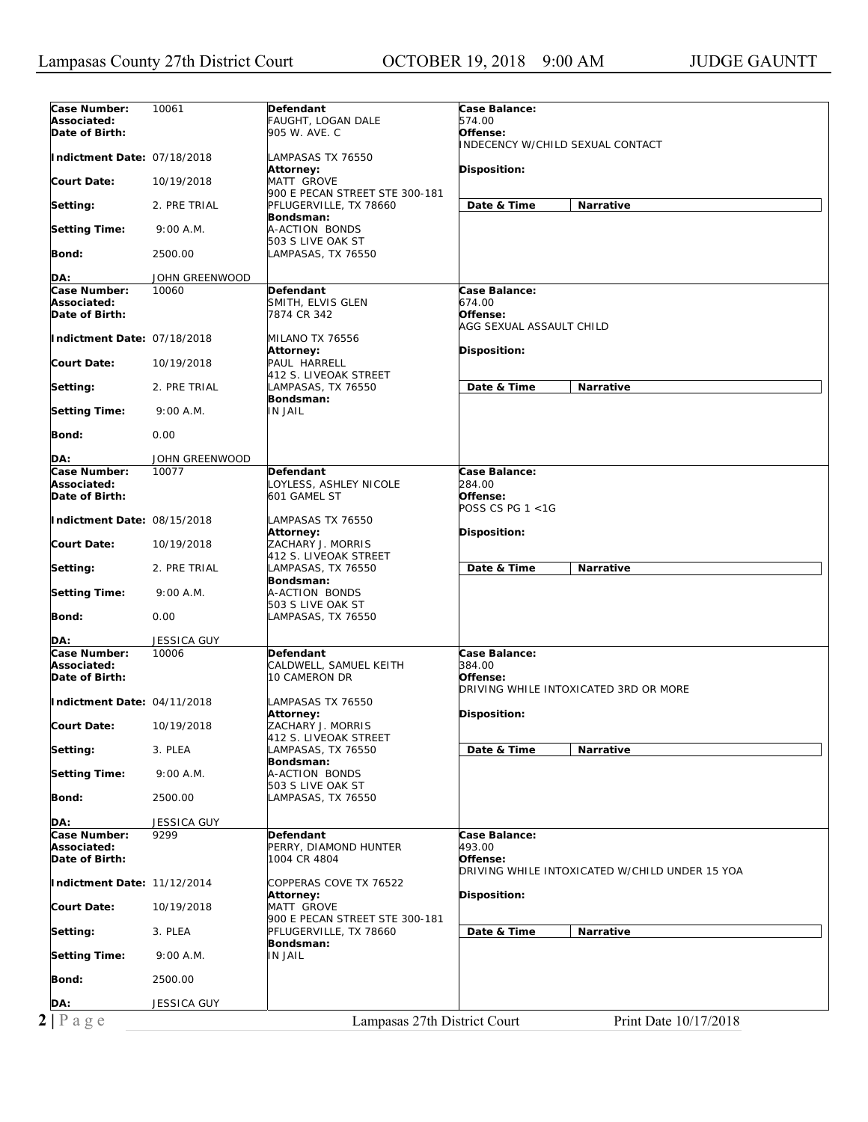| Case Number:                | 10061              |                                                          | Case Balance:                                  |
|-----------------------------|--------------------|----------------------------------------------------------|------------------------------------------------|
| Associated:                 |                    | Defendant<br>FAUGHT, LOGAN DALE                          | 574.00                                         |
| Date of Birth:              |                    | 905 W. AVE. C                                            | Offense:                                       |
|                             |                    |                                                          | INDECENCY W/CHILD SEXUAL CONTACT               |
| Indictment Date: 07/18/2018 |                    | LAMPASAS TX 76550                                        |                                                |
|                             |                    | <b>Attorney:</b>                                         | Disposition:                                   |
| Court Date:                 | 10/19/2018         | <b>MATT GROVE</b>                                        |                                                |
| Setting:                    | 2. PRE TRIAL       | 900 E PECAN STREET STE 300-181<br>PFLUGERVILLE, TX 78660 | Date & Time<br>Narrative                       |
|                             |                    | Bondsman:                                                |                                                |
| <b>Setting Time:</b>        | 9:00 A.M.          | A-ACTION BONDS                                           |                                                |
|                             |                    | 503 S LIVE OAK ST                                        |                                                |
| Bond:                       | 2500.00            | LAMPASAS, TX 76550                                       |                                                |
|                             |                    |                                                          |                                                |
| DA:                         | JOHN GREENWOOD     |                                                          |                                                |
| Case Number:<br>Associated: | 10060              | Defendant<br>SMITH, ELVIS GLEN                           | Case Balance:<br>674.00                        |
| Date of Birth:              |                    | 7874 CR 342                                              | Offense:                                       |
|                             |                    |                                                          | AGG SEXUAL ASSAULT CHILD                       |
| Indictment Date: 07/18/2018 |                    | MILANO TX 76556                                          |                                                |
|                             |                    | <b>Attorney:</b>                                         | Disposition:                                   |
| Court Date:                 | 10/19/2018         | PAUL HARRELL                                             |                                                |
|                             |                    | 412 S. LIVEOAK STREET                                    |                                                |
| Setting:                    | 2. PRE TRIAL       | LAMPASAS, TX 76550                                       | Date & Time<br>Narrative                       |
| <b>Setting Time:</b>        | 9:00 A.M.          | Bondsman:<br><b>IN JAIL</b>                              |                                                |
|                             |                    |                                                          |                                                |
| Bond:                       | 0.00               |                                                          |                                                |
|                             |                    |                                                          |                                                |
| DA:                         | JOHN GREENWOOD     |                                                          |                                                |
| Case Number:                | 10077              | <b>Defendant</b>                                         | Case Balance:                                  |
| Associated:                 |                    | LOYLESS, ASHLEY NICOLE                                   | 284.00                                         |
| Date of Birth:              |                    | 601 GAMEL ST                                             | Offense:<br>POSS CS PG 1 <1G                   |
| Indictment Date: 08/15/2018 |                    | LAMPASAS TX 76550                                        |                                                |
|                             |                    | <b>Attorney:</b>                                         | Disposition:                                   |
| <b>Court Date:</b>          | 10/19/2018         | ZACHARY J. MORRIS                                        |                                                |
|                             |                    | 412 S. LIVEOAK STREET                                    |                                                |
| Setting:                    | 2. PRE TRIAL       | LAMPASAS, TX 76550                                       | Date & Time<br>Narrative                       |
|                             |                    | Bondsman:                                                |                                                |
| <b>Setting Time:</b>        | 9:00 A.M.          | A-ACTION BONDS<br>503 S LIVE OAK ST                      |                                                |
| Bond:                       | 0.00               | LAMPASAS, TX 76550                                       |                                                |
|                             |                    |                                                          |                                                |
| DA:                         | <b>JESSICA GUY</b> |                                                          |                                                |
| Case Number:                | 10006              | Defendant                                                | Case Balance:                                  |
| Associated:                 |                    | CALDWELL, SAMUEL KEITH                                   | 384.00<br>Offense:                             |
| Date of Birth:              |                    | 10 CAMERON DR                                            |                                                |
| Indictment Date: 04/11/2018 |                    |                                                          |                                                |
|                             |                    |                                                          | DRIVING WHILE INTOXICATED 3RD OR MORE          |
|                             |                    | LAMPASAS TX 76550                                        |                                                |
| <b>Court Date:</b>          | 10/19/2018         | Attorney:<br>ZACHARY J. MORRIS                           | Disposition:                                   |
|                             |                    | 412 S. LIVEOAK STREET                                    |                                                |
| Setting:                    | 3. PLEA            | LAMPASAS, TX 76550                                       | Date & Time<br>Narrative                       |
|                             |                    | Bondsman:                                                |                                                |
| <b>Setting Time:</b>        | 9:00 A.M.          | A-ACTION BONDS                                           |                                                |
|                             |                    | 503 S LIVE OAK ST                                        |                                                |
| Bond:                       | 2500.00            | LAMPASAS, TX 76550                                       |                                                |
| DA:                         | <b>JESSICA GUY</b> |                                                          |                                                |
| Case Number:                | 9299               | Defendant                                                | Case Balance:                                  |
| Associated:                 |                    | PERRY, DIAMOND HUNTER                                    | 493.00                                         |
| Date of Birth:              |                    | 1004 CR 4804                                             | Offense:                                       |
|                             |                    |                                                          | DRIVING WHILE INTOXICATED W/CHILD UNDER 15 YOA |
| Indictment Date: 11/12/2014 |                    | COPPERAS COVE TX 76522                                   |                                                |
| Court Date:                 | 10/19/2018         | <b>Attorney:</b><br><b>MATT GROVE</b>                    | Disposition:                                   |
|                             |                    | 900 E PECAN STREET STE 300-181                           |                                                |
| Setting:                    | 3. PLEA            | PFLUGERVILLE, TX 78660                                   | Date & Time<br>Narrative                       |
|                             |                    | Bondsman:                                                |                                                |
| <b>Setting Time:</b>        | 9:00 A.M.          | <b>IN JAIL</b>                                           |                                                |
|                             |                    |                                                          |                                                |
| Bond:                       | 2500.00            |                                                          |                                                |
| DA:                         | JESSICA GUY        |                                                          |                                                |
| $2 P \text{ a } g e$        |                    | Lampasas 27th District Court                             | Print Date 10/17/2018                          |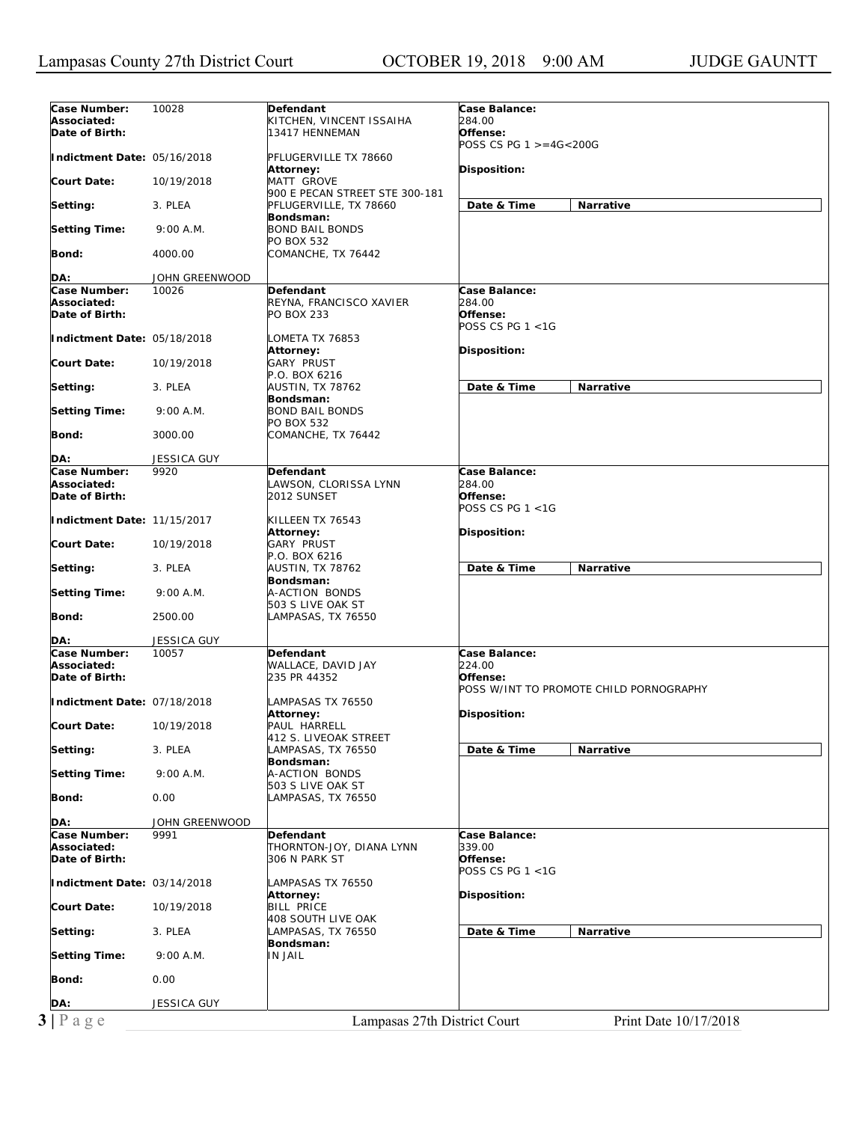| Case Number:                | 10028              | Defendant                      | Case Balance:          |                                         |
|-----------------------------|--------------------|--------------------------------|------------------------|-----------------------------------------|
| Associated:                 |                    | KITCHEN, VINCENT ISSAIHA       | 284.00                 |                                         |
| Date of Birth:              |                    | 13417 HENNEMAN                 | Offense:               |                                         |
|                             |                    |                                | POSS CS PG 1 >=4G<200G |                                         |
| Indictment Date: 05/16/2018 |                    | PFLUGERVILLE TX 78660          |                        |                                         |
|                             |                    | Attorney:                      | Disposition:           |                                         |
| <b>Court Date:</b>          | 10/19/2018         | MATT GROVE                     |                        |                                         |
|                             |                    | 900 E PECAN STREET STE 300-181 |                        |                                         |
| Setting:                    | 3. PLEA            | PFLUGERVILLE, TX 78660         | Date & Time            | Narrative                               |
|                             |                    | Bondsman:                      |                        |                                         |
| <b>Setting Time:</b>        | 9:00 A.M.          | <b>BOND BAIL BONDS</b>         |                        |                                         |
|                             |                    | PO BOX 532                     |                        |                                         |
| Bond:                       | 4000.00            | COMANCHE, TX 76442             |                        |                                         |
|                             |                    |                                |                        |                                         |
| DA:                         | JOHN GREENWOOD     |                                |                        |                                         |
| Case Number:                | 10026              | Defendant                      | Case Balance:          |                                         |
| Associated:                 |                    | REYNA, FRANCISCO XAVIER        | 284.00                 |                                         |
| Date of Birth:              |                    |                                | Offense:               |                                         |
|                             |                    | <b>PO BOX 233</b>              |                        |                                         |
|                             |                    |                                | POSS CS PG 1 <1G       |                                         |
| Indictment Date: 05/18/2018 |                    | LOMETA TX 76853                |                        |                                         |
|                             |                    | Attorney:                      | Disposition:           |                                         |
| <b>Court Date:</b>          | 10/19/2018         | <b>GARY PRUST</b>              |                        |                                         |
|                             |                    | P.O. BOX 6216                  |                        |                                         |
| Setting:                    | 3. PLEA            | AUSTIN, TX 78762               | Date & Time            | <b>Narrative</b>                        |
|                             |                    | Bondsman:                      |                        |                                         |
| <b>Setting Time:</b>        | 9:00 A.M.          | <b>BOND BAIL BONDS</b>         |                        |                                         |
|                             |                    | PO BOX 532                     |                        |                                         |
| Bond:                       | 3000.00            | COMANCHE, TX 76442             |                        |                                         |
|                             |                    |                                |                        |                                         |
| DA:                         | <b>JESSICA GUY</b> |                                |                        |                                         |
| Case Number:                | 9920               | Defendant                      | Case Balance:          |                                         |
| Associated:                 |                    | LAWSON, CLORISSA LYNN          | 284.00                 |                                         |
| Date of Birth:              |                    | 2012 SUNSET                    | Offense:               |                                         |
|                             |                    |                                | POSS CS PG 1 <1G       |                                         |
| Indictment Date: 11/15/2017 |                    | KILLEEN TX 76543               |                        |                                         |
|                             |                    | Attorney:                      | Disposition:           |                                         |
| <b>Court Date:</b>          | 10/19/2018         | <b>GARY PRUST</b>              |                        |                                         |
|                             |                    | P.O. BOX 6216                  |                        |                                         |
|                             | 3. PLEA            | AUSTIN, TX 78762               | Date & Time            | Narrative                               |
| Setting:                    |                    |                                |                        |                                         |
|                             |                    | Bondsman:                      |                        |                                         |
| <b>Setting Time:</b>        | 9:00 A.M.          | A-ACTION BONDS                 |                        |                                         |
|                             |                    | 503 S LIVE OAK ST              |                        |                                         |
| Bond:                       | 2500.00            | LAMPASAS, TX 76550             |                        |                                         |
|                             |                    |                                |                        |                                         |
| DA:                         | <b>JESSICA GUY</b> |                                |                        |                                         |
| Case Number:                | 10057              | Defendant                      | Case Balance:          |                                         |
| Associated:                 |                    | WALLACE, DAVID JAY             | 224.00                 |                                         |
| Date of Birth:              |                    | 235 PR 44352                   | Offense:               |                                         |
|                             |                    |                                |                        | POSS W/INT TO PROMOTE CHILD PORNOGRAPHY |
| Indictment Date: 07/18/2018 |                    | LAMPASAS TX 76550              |                        |                                         |
|                             |                    | Attorney:                      | Disposition:           |                                         |
| <b>Court Date:</b>          | 10/19/2018         | PAUL HARRELL                   |                        |                                         |
|                             |                    | 412 S. LIVEOAK STREET          |                        |                                         |
| Setting:                    | 3. PLEA            | LAMPASAS, TX 76550             | Date & Time            | Narrative                               |
|                             |                    | Bondsman:                      |                        |                                         |
| <b>Setting Time:</b>        | 9:00 A.M.          | A-ACTION BONDS                 |                        |                                         |
|                             |                    | 503 S LIVE OAK ST              |                        |                                         |
| Bond:                       | 0.00               | LAMPASAS, TX 76550             |                        |                                         |
|                             |                    |                                |                        |                                         |
| DA:                         | JOHN GREENWOOD     |                                |                        |                                         |
| Case Number:                |                    |                                | Case Balance:          |                                         |
|                             |                    |                                |                        |                                         |
|                             | 9991               | Defendant                      |                        |                                         |
| Associated:                 |                    | THORNTON-JOY, DIANA LYNN       | 339.00                 |                                         |
| Date of Birth:              |                    | 306 N PARK ST                  | Offense:               |                                         |
|                             |                    |                                | POSS CS PG 1 <1G       |                                         |
| Indictment Date: 03/14/2018 |                    | LAMPASAS TX 76550              |                        |                                         |
|                             |                    | <b>Attorney:</b>               | Disposition:           |                                         |
| <b>Court Date:</b>          | 10/19/2018         | <b>BILL PRICE</b>              |                        |                                         |
|                             |                    | 408 SOUTH LIVE OAK             |                        |                                         |
| Setting:                    | 3. PLEA            | LAMPASAS, TX 76550             | Date & Time            | Narrative                               |
|                             |                    | Bondsman:                      |                        |                                         |
| <b>Setting Time:</b>        | 9:00 A.M.          | <b>IN JAIL</b>                 |                        |                                         |
|                             |                    |                                |                        |                                         |
| Bond:                       | 0.00               |                                |                        |                                         |
|                             |                    |                                |                        |                                         |
| DA:                         | JESSICA GUY        |                                |                        |                                         |
| $3 P \text{ a } g e$        |                    | Lampasas 27th District Court   |                        | Print Date 10/17/2018                   |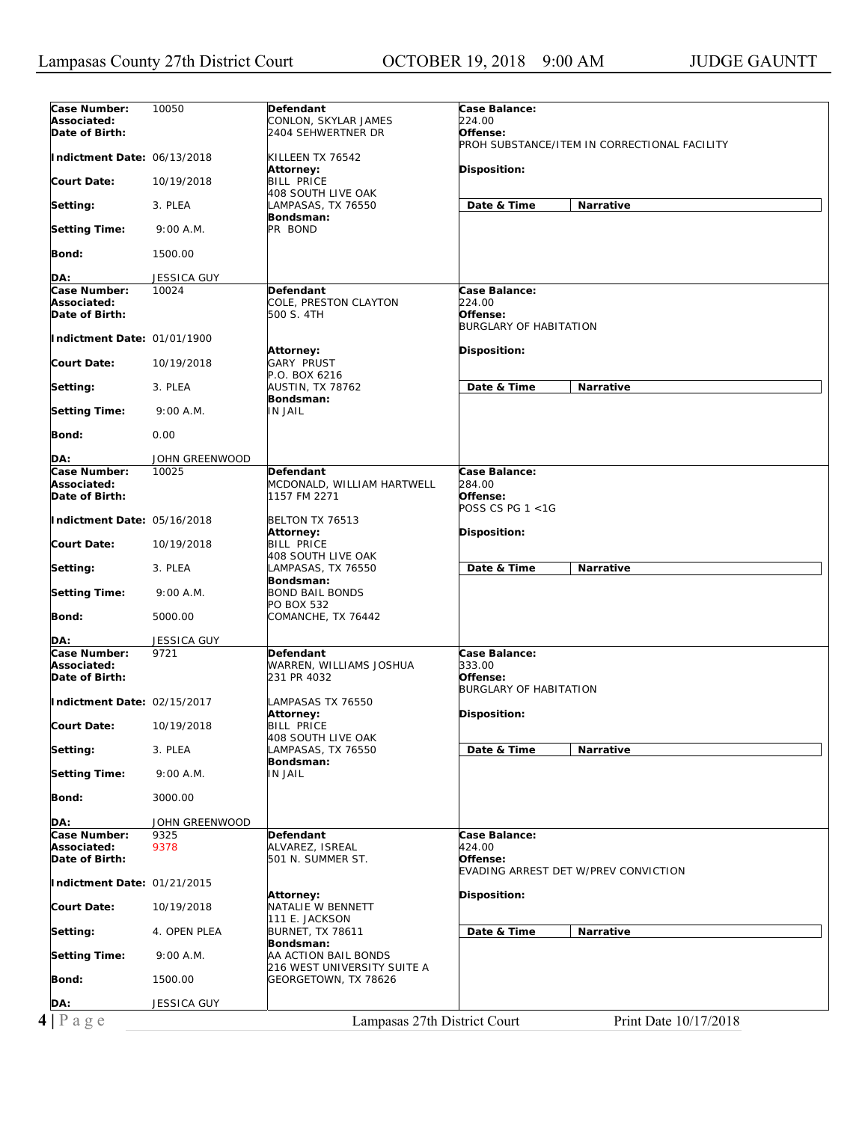| Case Number:                                     | 10050                 | Defendant                                           | Case Balance:                                |
|--------------------------------------------------|-----------------------|-----------------------------------------------------|----------------------------------------------|
| Associated:                                      |                       | CONLON, SKYLAR JAMES                                | 224.00                                       |
| Date of Birth:                                   |                       | 2404 SEHWERTNER DR                                  | Offense:                                     |
|                                                  |                       |                                                     | PROH SUBSTANCE/ITEM IN CORRECTIONAL FACILITY |
| Indictment Date: 06/13/2018                      |                       | KILLEEN TX 76542                                    |                                              |
|                                                  |                       | Attorney:                                           | Disposition:                                 |
| <b>Court Date:</b>                               | 10/19/2018            | <b>BILL PRICE</b>                                   |                                              |
|                                                  |                       | 408 SOUTH LIVE OAK                                  |                                              |
| Setting:                                         | 3. PLEA               | LAMPASAS, TX 76550                                  | Date & Time<br>Narrative                     |
| <b>Setting Time:</b>                             | 9:00 A.M.             | Bondsman:<br>PR BOND                                |                                              |
|                                                  |                       |                                                     |                                              |
| Bond:                                            | 1500.00               |                                                     |                                              |
|                                                  |                       |                                                     |                                              |
| DA:                                              | JESSICA GUY           |                                                     |                                              |
| Case Number:                                     | 10024                 | <b>Defendant</b>                                    | Case Balance:                                |
| Associated:                                      |                       | COLE, PRESTON CLAYTON                               | 224.00                                       |
| Date of Birth:                                   |                       | 500 S. 4TH                                          | Offense:                                     |
|                                                  |                       |                                                     | <b>BURGLARY OF HABITATION</b>                |
| Indictment Date: 01/01/1900                      |                       |                                                     |                                              |
|                                                  |                       | Attorney:                                           | Disposition:                                 |
| <b>Court Date:</b>                               | 10/19/2018            | <b>GARY PRUST</b>                                   |                                              |
|                                                  |                       | P.O. BOX 6216                                       |                                              |
| Setting:                                         | 3. PLEA               | <b>AUSTIN, TX 78762</b><br>Bondsman:                | Date & Time<br><b>Narrative</b>              |
| <b>Setting Time:</b>                             | 9:00 A.M.             | <b>IN JAIL</b>                                      |                                              |
|                                                  |                       |                                                     |                                              |
| Bond:                                            | 0.00                  |                                                     |                                              |
|                                                  |                       |                                                     |                                              |
| DA:                                              | <b>JOHN GREENWOOD</b> |                                                     |                                              |
| Case Number:                                     | 10025                 | Defendant                                           | Case Balance:                                |
| Associated:                                      |                       | MCDONALD, WILLIAM HARTWELL                          | 284.00                                       |
| Date of Birth:                                   |                       | 1157 FM 2271                                        | Offense:                                     |
|                                                  |                       |                                                     | POSS CS PG $1 < 1$ G                         |
| Indictment Date: 05/16/2018                      |                       | BELTON TX 76513                                     |                                              |
|                                                  |                       | Attorney:                                           | Disposition:                                 |
| Court Date:                                      | 10/19/2018            | <b>BILL PRICE</b>                                   |                                              |
|                                                  | 3. PLEA               | 408 SOUTH LIVE OAK<br>LAMPASAS, TX 76550            | Date & Time<br>Narrative                     |
| Setting:                                         |                       | Bondsman:                                           |                                              |
| <b>Setting Time:</b>                             | 9:00 A.M.             | <b>BOND BAIL BONDS</b>                              |                                              |
|                                                  |                       | PO BOX 532                                          |                                              |
| Bond:                                            | 5000.00               | COMANCHE, TX 76442                                  |                                              |
|                                                  |                       |                                                     |                                              |
| DA:                                              | JESSICA GUY           |                                                     |                                              |
| Case Number:                                     | 9721                  | Defendant                                           | Case Balance:                                |
| Associated:                                      |                       | WARREN, WILLIAMS JOSHUA                             | 333.00                                       |
| Date of Birth:                                   |                       | 231 PR 4032                                         | Offense:                                     |
|                                                  |                       |                                                     | <b>BURGLARY OF HABITATION</b>                |
| Indictment Date: 02/15/2017                      |                       | LAMPASAS TX 76550                                   |                                              |
| <b>Court Date:</b>                               | 10/19/2018            | Attorney:                                           | Disposition:                                 |
|                                                  |                       | <b>BILL PRICE</b><br>408 SOUTH LIVE OAK             |                                              |
| Setting:                                         | 3. PLEA               | LAMPASAS, TX 76550                                  | Date & Time<br>Narrative                     |
|                                                  |                       | Bondsman:                                           |                                              |
| <b>Setting Time:</b>                             | 9:00 A.M.             | IN JAIL                                             |                                              |
|                                                  |                       |                                                     |                                              |
| Bond:                                            | 3000.00               |                                                     |                                              |
|                                                  |                       |                                                     |                                              |
| DA:                                              | JOHN GREENWOOD        |                                                     |                                              |
| Case Number:                                     | 9325                  | Defendant                                           | Case Balance:                                |
| Associated:                                      | 9378                  | ALVAREZ, ISREAL                                     | 424.00                                       |
| Date of Birth:                                   |                       | 501 N. SUMMER ST.                                   | Offense:                                     |
|                                                  |                       |                                                     | EVADING ARREST DET W/PREV CONVICTION         |
| Indictment Date: 01/21/2015                      |                       |                                                     |                                              |
| <b>Court Date:</b>                               |                       | Attorney:<br>NATALIE W BENNETT                      | Disposition:                                 |
|                                                  | 10/19/2018            | 111 E. JACKSON                                      |                                              |
|                                                  |                       |                                                     | Date & Time<br>Narrative                     |
|                                                  |                       |                                                     |                                              |
|                                                  | 4. OPEN PLEA          | <b>BURNET, TX 78611</b>                             |                                              |
|                                                  |                       | Bondsman:                                           |                                              |
|                                                  | 9:00 A.M.             | AA ACTION BAIL BONDS<br>216 WEST UNIVERSITY SUITE A |                                              |
|                                                  | 1500.00               | GEORGETOWN, TX 78626                                |                                              |
|                                                  |                       |                                                     |                                              |
| Setting:<br><b>Setting Time:</b><br>Bond:<br>DA: | JESSICA GUY           |                                                     |                                              |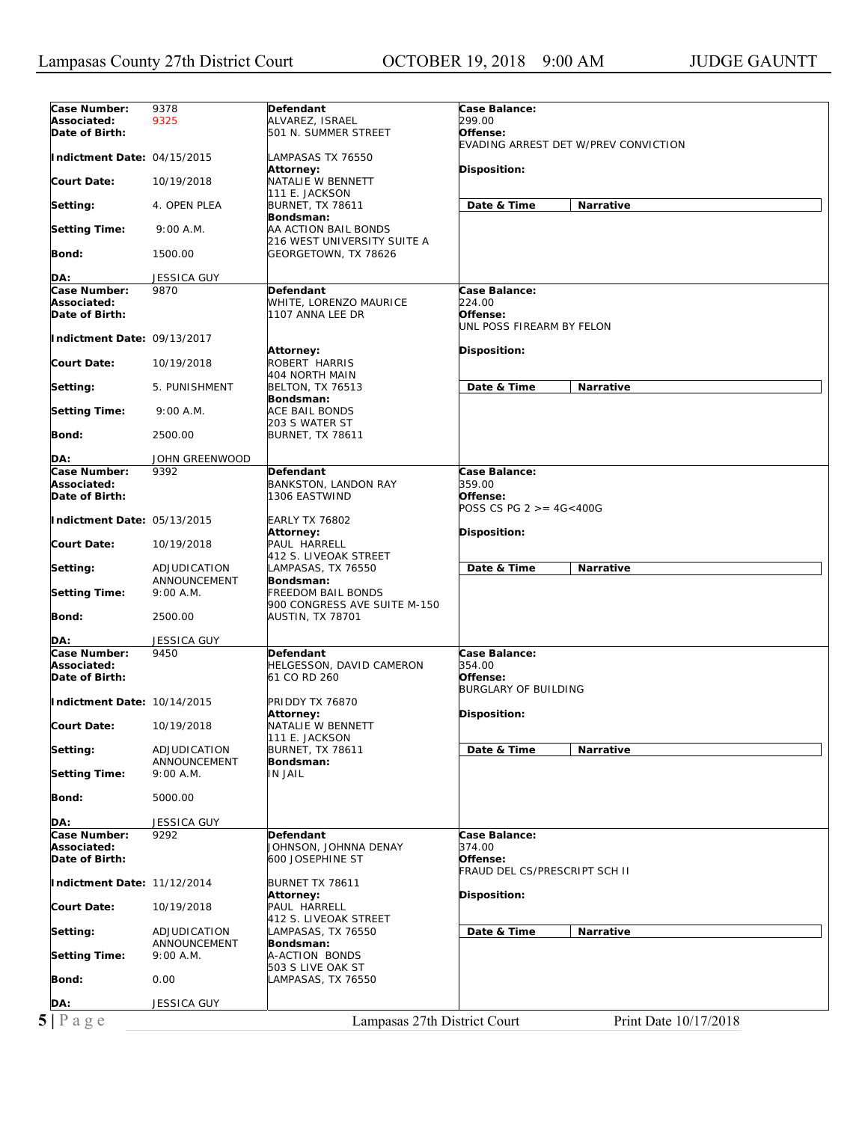| Case Number:                | 9378                  | Defendant                    | Case Balance:                        |
|-----------------------------|-----------------------|------------------------------|--------------------------------------|
| Associated:                 | 9325                  | ALVAREZ, ISRAEL              | 299.00                               |
| Date of Birth:              |                       | 501 N. SUMMER STREET         | Offense:                             |
|                             |                       |                              | EVADING ARREST DET W/PREV CONVICTION |
| Indictment Date: 04/15/2015 |                       | LAMPASAS TX 76550            |                                      |
|                             |                       |                              |                                      |
|                             |                       | Attorney:                    | Disposition:                         |
| <b>Court Date:</b>          | 10/19/2018            | NATALIE W BENNETT            |                                      |
|                             |                       | 111 E. JACKSON               |                                      |
| Setting:                    | 4. OPEN PLEA          | <b>BURNET, TX 78611</b>      | Date & Time<br>Narrative             |
|                             |                       | Bondsman:                    |                                      |
|                             | 9:00 A.M.             | AA ACTION BAIL BONDS         |                                      |
| <b>Setting Time:</b>        |                       |                              |                                      |
|                             |                       | 216 WEST UNIVERSITY SUITE A  |                                      |
| Bond:                       | 1500.00               | GEORGETOWN, TX 78626         |                                      |
|                             |                       |                              |                                      |
| DA:                         | JESSICA GUY           |                              |                                      |
| Case Number:                | 9870                  | <b>Defendant</b>             | Case Balance:                        |
| Associated:                 |                       | WHITE, LORENZO MAURICE       | <i>224.00</i>                        |
| Date of Birth:              |                       | 1107 ANNA LEE DR             | Offense:                             |
|                             |                       |                              |                                      |
|                             |                       |                              | UNL POSS FIREARM BY FELON            |
| Indictment Date: 09/13/2017 |                       |                              |                                      |
|                             |                       | Attorney:                    | <b>Disposition:</b>                  |
| <b>Court Date:</b>          | 10/19/2018            | ROBERT HARRIS                |                                      |
|                             |                       | 404 NORTH MAIN               |                                      |
| Setting:                    | 5. PUNISHMENT         | <b>BELTON, TX 76513</b>      | Date & Time<br><b>Narrative</b>      |
|                             |                       |                              |                                      |
|                             |                       | Bondsman:                    |                                      |
| <b>Setting Time:</b>        | 9:00 A.M.             | <b>ACE BAIL BONDS</b>        |                                      |
|                             |                       | 203 S WATER ST               |                                      |
| Bond:                       | 2500.00               | <b>BURNET, TX 78611</b>      |                                      |
|                             |                       |                              |                                      |
| DA:                         | <b>JOHN GREENWOOD</b> |                              |                                      |
| Case Number:                | 9392                  |                              | Case Balance:                        |
|                             |                       | Defendant                    |                                      |
| Associated:                 |                       | <b>BANKSTON, LANDON RAY</b>  | 359.00                               |
| Date of Birth:              |                       | 1306 EASTWIND                | Offense:                             |
|                             |                       |                              | POSS CS PG 2 >= 4G<400G              |
| Indictment Date: 05/13/2015 |                       | <b>EARLY TX 76802</b>        |                                      |
|                             |                       | <b>Attorney:</b>             | <b>Disposition:</b>                  |
| <b>Court Date:</b>          | 10/19/2018            | PAUL HARRELL                 |                                      |
|                             |                       | 412 S. LIVEOAK STREET        |                                      |
|                             |                       |                              |                                      |
| Setting:                    | ADJUDICATION          | LAMPASAS, TX 76550           | Date & Time<br><b>Narrative</b>      |
|                             | ANNOUNCEMENT          | Bondsman:                    |                                      |
|                             |                       |                              |                                      |
| <b>Setting Time:</b>        | 9:00 A.M.             | <b>FREEDOM BAIL BONDS</b>    |                                      |
|                             |                       |                              |                                      |
|                             |                       | 900 CONGRESS AVE SUITE M-150 |                                      |
| Bond:                       | 2500.00               | AUSTIN, TX 78701             |                                      |
|                             |                       |                              |                                      |
| DA:                         | JESSICA GUY           |                              |                                      |
| Case Number:                | 9450                  | <b>Defendant</b>             | Case Balance:                        |
| Associated:                 |                       | HELGESSON, DAVID CAMERON     | 354.00                               |
| Date of Birth:              |                       | 61 CO RD 260                 | Offense:                             |
|                             |                       |                              |                                      |
|                             |                       |                              | BURGLARY OF BUILDING                 |
| Indictment Date: 10/14/2015 |                       | PRIDDY TX 76870              |                                      |
|                             |                       | Attorney:                    | Disposition:                         |
| <b>Court Date:</b>          | 10/19/2018            | NATALIE W BENNETT            |                                      |
|                             |                       | 111 E. JACKSON               |                                      |
| Setting:                    | ADJUDICATION          | <b>BURNET, TX 78611</b>      | Date & Time<br>Narrative             |
|                             | ANNOUNCEMENT          | Bondsman:                    |                                      |
| Setting Time:               | 9:00 A.M.             | <b>IN JAIL</b>               |                                      |
|                             |                       |                              |                                      |
|                             |                       |                              |                                      |
| Bond:                       | 5000.00               |                              |                                      |
|                             |                       |                              |                                      |
| DA:                         | <b>JESSICA GUY</b>    |                              |                                      |
| Case Number:                | 9292                  | Defendant                    | Case Balance:                        |
| Associated:                 |                       | JOHNSON, JOHNNA DENAY        | 374.00                               |
| Date of Birth:              |                       | 600 JOSEPHINE ST             | Offense:                             |
|                             |                       |                              | FRAUD DEL CS/PRESCRIPT SCH II        |
|                             |                       |                              |                                      |
| Indictment Date: 11/12/2014 |                       | BURNET TX 78611              |                                      |
|                             |                       | Attorney:                    | Disposition:                         |
| <b>Court Date:</b>          | 10/19/2018            | PAUL HARRELL                 |                                      |
|                             |                       | 412 S. LIVEOAK STREET        |                                      |
| Setting:                    | ADJUDICATION          | LAMPASAS, TX 76550           | Date & Time<br>Narrative             |
|                             | ANNOUNCEMENT          | Bondsman:                    |                                      |
|                             |                       |                              |                                      |
| <b>Setting Time:</b>        | 9:00 A.M.             | A-ACTION BONDS               |                                      |
|                             |                       | 503 S LIVE OAK ST            |                                      |
| Bond:                       | 0.00                  | LAMPASAS, TX 76550           |                                      |
|                             |                       |                              |                                      |
| DA:                         | <b>JESSICA GUY</b>    |                              |                                      |
| $5$   P a g e               |                       | Lampasas 27th District Court | Print Date 10/17/2018                |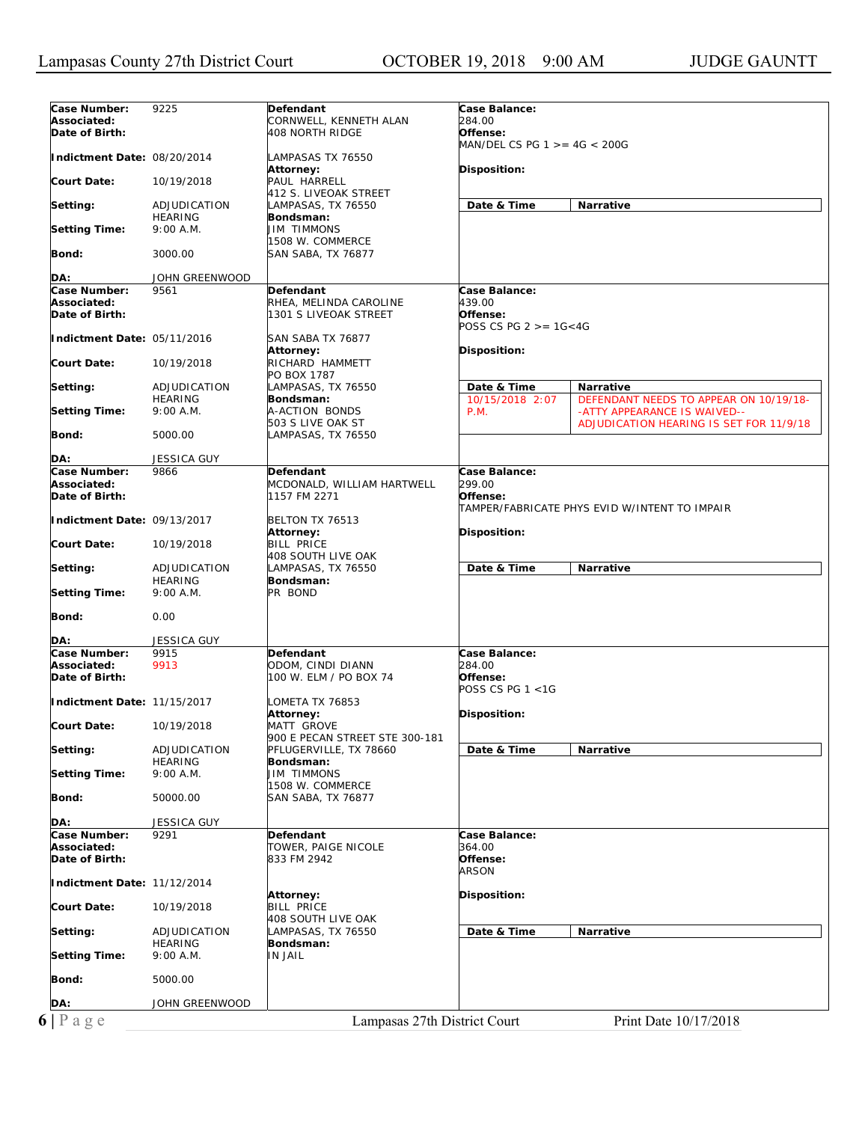| Associated:<br>CORNWELL, KENNETH ALAN<br>284.00<br>Date of Birth:<br>Offense:<br>408 NORTH RIDGE<br>MAN/DEL CS PG $1 > = 4G < 200G$<br>Indictment Date: 08/20/2014<br>LAMPASAS TX 76550<br>Attorney:<br>Disposition:<br>PAUL HARRELL<br>Court Date:<br>10/19/2018<br>412 S. LIVEOAK STREET<br>Date & Time<br>Narrative<br>Setting:<br>ADJUDICATION<br>LAMPASAS, TX 76550<br><b>HEARING</b><br>Bondsman:<br><b>JIM TIMMONS</b><br><b>Setting Time:</b><br>9:00 A.M.<br>1508 W. COMMERCE<br>Bond:<br>3000.00<br>SAN SABA, TX 76877<br>DA:<br>JOHN GREENWOOD<br>Case Number:<br>Case Balance:<br>9561<br>Defendant<br>439.00<br>Associated:<br>RHEA, MELINDA CAROLINE<br>Date of Birth:<br>1301 S LIVEOAK STREET<br>Offense:<br>POSS CS PG $2 > = 16 < 4G$<br>Indictment Date: 05/11/2016<br>SAN SABA TX 76877<br>Attorney:<br>Disposition:<br>Court Date:<br>RICHARD HAMMETT<br>10/19/2018<br>PO BOX 1787<br>Date & Time<br>Setting:<br>ADJUDICATION<br>LAMPASAS, TX 76550<br><b>Narrative</b><br>10/15/2018 2:07<br>DEFENDANT NEEDS TO APPEAR ON 10/19/18-<br><b>HEARING</b><br>Bondsman:<br><b>A-ACTION BONDS</b><br><b>Setting Time:</b><br>9:00 A.M.<br><b>P.M.</b><br>-ATTY APPEARANCE IS WAIVED--<br>503 S LIVE OAK ST<br>ADJUDICATION HEARING IS SET FOR 11/9/18<br><b>Bond:</b><br>5000.00<br>LAMPASAS, TX 76550<br>DA:<br><b>JESSICA GUY</b><br>Case Number:<br>Case Balance:<br>9866<br>Defendant<br>299.00<br>Associated:<br>MCDONALD, WILLIAM HARTWELL<br>Date of Birth:<br>1157 FM 2271<br>Offense:<br>TAMPER/FABRICATE PHYS EVID W/INTENT TO IMPAIR<br>Indictment Date: 09/13/2017<br>BELTON TX 76513<br>Disposition:<br>Attorney:<br><b>Court Date:</b><br><b>BILL PRICE</b><br>10/19/2018<br>408 SOUTH LIVE OAK<br>Date & Time<br>Narrative<br>LAMPASAS, TX 76550<br>ADJUDICATION<br><b>HEARING</b><br>Bondsman:<br>9:00 A.M.<br>PR BOND<br>0.00<br><b>JESSICA GUY</b><br><b>Defendant</b><br>Case Balance:<br>9915<br>284.00<br>9913<br>ODOM, CINDI DIANN<br>100 W. ELM / PO BOX 74<br>Offense:<br>POSS CS PG $1 < 1G$<br>Indictment Date: 11/15/2017<br>LOMETA TX 76853<br>Attorney:<br>Disposition:<br>MATT GROVE<br>10/19/2018<br>900 E PECAN STREET STE 300-181<br>PFLUGERVILLE, TX 78660<br>ADJUDICATION<br>Date & Time<br>Narrative<br><b>HEARING</b><br>Bondsman:<br><b>JIM TIMMONS</b><br>9:00 A.M.<br>1508 W. COMMERCE<br>50000.00<br>SAN SABA, TX 76877<br>JESSICA GUY<br>Case Number:<br>Defendant<br>Case Balance:<br>9291<br>TOWER, PAIGE NICOLE<br>364.00<br>Date of Birth:<br>Offense:<br>833 FM 2942<br><i>ARSON</i><br>Indictment Date: 11/12/2014<br>Disposition:<br><b>Attorney:</b><br><b>Court Date:</b><br><b>BILL PRICE</b><br>10/19/2018<br>408 SOUTH LIVE OAK<br>Date & Time<br>Narrative<br>Setting:<br>LAMPASAS, TX 76550<br>ADJUDICATION<br>Bondsman:<br><b>HEARING</b><br><b>IN JAIL</b><br><b>Setting Time:</b><br>9:00 A.M.<br>Bond:<br>5000.00<br>JOHN GREENWOOD<br>DA:<br>Lampasas 27th District Court<br>Print Date 10/17/2018 | Case Number:         | 9225 | Defendant | Case Balance: |
|---------------------------------------------------------------------------------------------------------------------------------------------------------------------------------------------------------------------------------------------------------------------------------------------------------------------------------------------------------------------------------------------------------------------------------------------------------------------------------------------------------------------------------------------------------------------------------------------------------------------------------------------------------------------------------------------------------------------------------------------------------------------------------------------------------------------------------------------------------------------------------------------------------------------------------------------------------------------------------------------------------------------------------------------------------------------------------------------------------------------------------------------------------------------------------------------------------------------------------------------------------------------------------------------------------------------------------------------------------------------------------------------------------------------------------------------------------------------------------------------------------------------------------------------------------------------------------------------------------------------------------------------------------------------------------------------------------------------------------------------------------------------------------------------------------------------------------------------------------------------------------------------------------------------------------------------------------------------------------------------------------------------------------------------------------------------------------------------------------------------------------------------------------------------------------------------------------------------------------------------------------------------------------------------------------------------------------------------------------------------------------------------------------------------------------------------------------------------------------------------------------------------------------------------------------------------------------------------------------------------------------------------------------------------------------------------------------------------------------------------------------------------------------------------------------------------------------------------------------------------------------------------------------------------------------------------------------------------------------|----------------------|------|-----------|---------------|
|                                                                                                                                                                                                                                                                                                                                                                                                                                                                                                                                                                                                                                                                                                                                                                                                                                                                                                                                                                                                                                                                                                                                                                                                                                                                                                                                                                                                                                                                                                                                                                                                                                                                                                                                                                                                                                                                                                                                                                                                                                                                                                                                                                                                                                                                                                                                                                                                                                                                                                                                                                                                                                                                                                                                                                                                                                                                                                                                                                                 |                      |      |           |               |
|                                                                                                                                                                                                                                                                                                                                                                                                                                                                                                                                                                                                                                                                                                                                                                                                                                                                                                                                                                                                                                                                                                                                                                                                                                                                                                                                                                                                                                                                                                                                                                                                                                                                                                                                                                                                                                                                                                                                                                                                                                                                                                                                                                                                                                                                                                                                                                                                                                                                                                                                                                                                                                                                                                                                                                                                                                                                                                                                                                                 |                      |      |           |               |
|                                                                                                                                                                                                                                                                                                                                                                                                                                                                                                                                                                                                                                                                                                                                                                                                                                                                                                                                                                                                                                                                                                                                                                                                                                                                                                                                                                                                                                                                                                                                                                                                                                                                                                                                                                                                                                                                                                                                                                                                                                                                                                                                                                                                                                                                                                                                                                                                                                                                                                                                                                                                                                                                                                                                                                                                                                                                                                                                                                                 |                      |      |           |               |
|                                                                                                                                                                                                                                                                                                                                                                                                                                                                                                                                                                                                                                                                                                                                                                                                                                                                                                                                                                                                                                                                                                                                                                                                                                                                                                                                                                                                                                                                                                                                                                                                                                                                                                                                                                                                                                                                                                                                                                                                                                                                                                                                                                                                                                                                                                                                                                                                                                                                                                                                                                                                                                                                                                                                                                                                                                                                                                                                                                                 |                      |      |           |               |
|                                                                                                                                                                                                                                                                                                                                                                                                                                                                                                                                                                                                                                                                                                                                                                                                                                                                                                                                                                                                                                                                                                                                                                                                                                                                                                                                                                                                                                                                                                                                                                                                                                                                                                                                                                                                                                                                                                                                                                                                                                                                                                                                                                                                                                                                                                                                                                                                                                                                                                                                                                                                                                                                                                                                                                                                                                                                                                                                                                                 |                      |      |           |               |
|                                                                                                                                                                                                                                                                                                                                                                                                                                                                                                                                                                                                                                                                                                                                                                                                                                                                                                                                                                                                                                                                                                                                                                                                                                                                                                                                                                                                                                                                                                                                                                                                                                                                                                                                                                                                                                                                                                                                                                                                                                                                                                                                                                                                                                                                                                                                                                                                                                                                                                                                                                                                                                                                                                                                                                                                                                                                                                                                                                                 |                      |      |           |               |
|                                                                                                                                                                                                                                                                                                                                                                                                                                                                                                                                                                                                                                                                                                                                                                                                                                                                                                                                                                                                                                                                                                                                                                                                                                                                                                                                                                                                                                                                                                                                                                                                                                                                                                                                                                                                                                                                                                                                                                                                                                                                                                                                                                                                                                                                                                                                                                                                                                                                                                                                                                                                                                                                                                                                                                                                                                                                                                                                                                                 |                      |      |           |               |
|                                                                                                                                                                                                                                                                                                                                                                                                                                                                                                                                                                                                                                                                                                                                                                                                                                                                                                                                                                                                                                                                                                                                                                                                                                                                                                                                                                                                                                                                                                                                                                                                                                                                                                                                                                                                                                                                                                                                                                                                                                                                                                                                                                                                                                                                                                                                                                                                                                                                                                                                                                                                                                                                                                                                                                                                                                                                                                                                                                                 |                      |      |           |               |
|                                                                                                                                                                                                                                                                                                                                                                                                                                                                                                                                                                                                                                                                                                                                                                                                                                                                                                                                                                                                                                                                                                                                                                                                                                                                                                                                                                                                                                                                                                                                                                                                                                                                                                                                                                                                                                                                                                                                                                                                                                                                                                                                                                                                                                                                                                                                                                                                                                                                                                                                                                                                                                                                                                                                                                                                                                                                                                                                                                                 |                      |      |           |               |
|                                                                                                                                                                                                                                                                                                                                                                                                                                                                                                                                                                                                                                                                                                                                                                                                                                                                                                                                                                                                                                                                                                                                                                                                                                                                                                                                                                                                                                                                                                                                                                                                                                                                                                                                                                                                                                                                                                                                                                                                                                                                                                                                                                                                                                                                                                                                                                                                                                                                                                                                                                                                                                                                                                                                                                                                                                                                                                                                                                                 |                      |      |           |               |
|                                                                                                                                                                                                                                                                                                                                                                                                                                                                                                                                                                                                                                                                                                                                                                                                                                                                                                                                                                                                                                                                                                                                                                                                                                                                                                                                                                                                                                                                                                                                                                                                                                                                                                                                                                                                                                                                                                                                                                                                                                                                                                                                                                                                                                                                                                                                                                                                                                                                                                                                                                                                                                                                                                                                                                                                                                                                                                                                                                                 |                      |      |           |               |
|                                                                                                                                                                                                                                                                                                                                                                                                                                                                                                                                                                                                                                                                                                                                                                                                                                                                                                                                                                                                                                                                                                                                                                                                                                                                                                                                                                                                                                                                                                                                                                                                                                                                                                                                                                                                                                                                                                                                                                                                                                                                                                                                                                                                                                                                                                                                                                                                                                                                                                                                                                                                                                                                                                                                                                                                                                                                                                                                                                                 |                      |      |           |               |
|                                                                                                                                                                                                                                                                                                                                                                                                                                                                                                                                                                                                                                                                                                                                                                                                                                                                                                                                                                                                                                                                                                                                                                                                                                                                                                                                                                                                                                                                                                                                                                                                                                                                                                                                                                                                                                                                                                                                                                                                                                                                                                                                                                                                                                                                                                                                                                                                                                                                                                                                                                                                                                                                                                                                                                                                                                                                                                                                                                                 |                      |      |           |               |
|                                                                                                                                                                                                                                                                                                                                                                                                                                                                                                                                                                                                                                                                                                                                                                                                                                                                                                                                                                                                                                                                                                                                                                                                                                                                                                                                                                                                                                                                                                                                                                                                                                                                                                                                                                                                                                                                                                                                                                                                                                                                                                                                                                                                                                                                                                                                                                                                                                                                                                                                                                                                                                                                                                                                                                                                                                                                                                                                                                                 |                      |      |           |               |
|                                                                                                                                                                                                                                                                                                                                                                                                                                                                                                                                                                                                                                                                                                                                                                                                                                                                                                                                                                                                                                                                                                                                                                                                                                                                                                                                                                                                                                                                                                                                                                                                                                                                                                                                                                                                                                                                                                                                                                                                                                                                                                                                                                                                                                                                                                                                                                                                                                                                                                                                                                                                                                                                                                                                                                                                                                                                                                                                                                                 |                      |      |           |               |
|                                                                                                                                                                                                                                                                                                                                                                                                                                                                                                                                                                                                                                                                                                                                                                                                                                                                                                                                                                                                                                                                                                                                                                                                                                                                                                                                                                                                                                                                                                                                                                                                                                                                                                                                                                                                                                                                                                                                                                                                                                                                                                                                                                                                                                                                                                                                                                                                                                                                                                                                                                                                                                                                                                                                                                                                                                                                                                                                                                                 |                      |      |           |               |
|                                                                                                                                                                                                                                                                                                                                                                                                                                                                                                                                                                                                                                                                                                                                                                                                                                                                                                                                                                                                                                                                                                                                                                                                                                                                                                                                                                                                                                                                                                                                                                                                                                                                                                                                                                                                                                                                                                                                                                                                                                                                                                                                                                                                                                                                                                                                                                                                                                                                                                                                                                                                                                                                                                                                                                                                                                                                                                                                                                                 |                      |      |           |               |
|                                                                                                                                                                                                                                                                                                                                                                                                                                                                                                                                                                                                                                                                                                                                                                                                                                                                                                                                                                                                                                                                                                                                                                                                                                                                                                                                                                                                                                                                                                                                                                                                                                                                                                                                                                                                                                                                                                                                                                                                                                                                                                                                                                                                                                                                                                                                                                                                                                                                                                                                                                                                                                                                                                                                                                                                                                                                                                                                                                                 |                      |      |           |               |
|                                                                                                                                                                                                                                                                                                                                                                                                                                                                                                                                                                                                                                                                                                                                                                                                                                                                                                                                                                                                                                                                                                                                                                                                                                                                                                                                                                                                                                                                                                                                                                                                                                                                                                                                                                                                                                                                                                                                                                                                                                                                                                                                                                                                                                                                                                                                                                                                                                                                                                                                                                                                                                                                                                                                                                                                                                                                                                                                                                                 |                      |      |           |               |
|                                                                                                                                                                                                                                                                                                                                                                                                                                                                                                                                                                                                                                                                                                                                                                                                                                                                                                                                                                                                                                                                                                                                                                                                                                                                                                                                                                                                                                                                                                                                                                                                                                                                                                                                                                                                                                                                                                                                                                                                                                                                                                                                                                                                                                                                                                                                                                                                                                                                                                                                                                                                                                                                                                                                                                                                                                                                                                                                                                                 |                      |      |           |               |
|                                                                                                                                                                                                                                                                                                                                                                                                                                                                                                                                                                                                                                                                                                                                                                                                                                                                                                                                                                                                                                                                                                                                                                                                                                                                                                                                                                                                                                                                                                                                                                                                                                                                                                                                                                                                                                                                                                                                                                                                                                                                                                                                                                                                                                                                                                                                                                                                                                                                                                                                                                                                                                                                                                                                                                                                                                                                                                                                                                                 |                      |      |           |               |
|                                                                                                                                                                                                                                                                                                                                                                                                                                                                                                                                                                                                                                                                                                                                                                                                                                                                                                                                                                                                                                                                                                                                                                                                                                                                                                                                                                                                                                                                                                                                                                                                                                                                                                                                                                                                                                                                                                                                                                                                                                                                                                                                                                                                                                                                                                                                                                                                                                                                                                                                                                                                                                                                                                                                                                                                                                                                                                                                                                                 |                      |      |           |               |
|                                                                                                                                                                                                                                                                                                                                                                                                                                                                                                                                                                                                                                                                                                                                                                                                                                                                                                                                                                                                                                                                                                                                                                                                                                                                                                                                                                                                                                                                                                                                                                                                                                                                                                                                                                                                                                                                                                                                                                                                                                                                                                                                                                                                                                                                                                                                                                                                                                                                                                                                                                                                                                                                                                                                                                                                                                                                                                                                                                                 |                      |      |           |               |
|                                                                                                                                                                                                                                                                                                                                                                                                                                                                                                                                                                                                                                                                                                                                                                                                                                                                                                                                                                                                                                                                                                                                                                                                                                                                                                                                                                                                                                                                                                                                                                                                                                                                                                                                                                                                                                                                                                                                                                                                                                                                                                                                                                                                                                                                                                                                                                                                                                                                                                                                                                                                                                                                                                                                                                                                                                                                                                                                                                                 |                      |      |           |               |
|                                                                                                                                                                                                                                                                                                                                                                                                                                                                                                                                                                                                                                                                                                                                                                                                                                                                                                                                                                                                                                                                                                                                                                                                                                                                                                                                                                                                                                                                                                                                                                                                                                                                                                                                                                                                                                                                                                                                                                                                                                                                                                                                                                                                                                                                                                                                                                                                                                                                                                                                                                                                                                                                                                                                                                                                                                                                                                                                                                                 |                      |      |           |               |
|                                                                                                                                                                                                                                                                                                                                                                                                                                                                                                                                                                                                                                                                                                                                                                                                                                                                                                                                                                                                                                                                                                                                                                                                                                                                                                                                                                                                                                                                                                                                                                                                                                                                                                                                                                                                                                                                                                                                                                                                                                                                                                                                                                                                                                                                                                                                                                                                                                                                                                                                                                                                                                                                                                                                                                                                                                                                                                                                                                                 |                      |      |           |               |
|                                                                                                                                                                                                                                                                                                                                                                                                                                                                                                                                                                                                                                                                                                                                                                                                                                                                                                                                                                                                                                                                                                                                                                                                                                                                                                                                                                                                                                                                                                                                                                                                                                                                                                                                                                                                                                                                                                                                                                                                                                                                                                                                                                                                                                                                                                                                                                                                                                                                                                                                                                                                                                                                                                                                                                                                                                                                                                                                                                                 |                      |      |           |               |
|                                                                                                                                                                                                                                                                                                                                                                                                                                                                                                                                                                                                                                                                                                                                                                                                                                                                                                                                                                                                                                                                                                                                                                                                                                                                                                                                                                                                                                                                                                                                                                                                                                                                                                                                                                                                                                                                                                                                                                                                                                                                                                                                                                                                                                                                                                                                                                                                                                                                                                                                                                                                                                                                                                                                                                                                                                                                                                                                                                                 |                      |      |           |               |
|                                                                                                                                                                                                                                                                                                                                                                                                                                                                                                                                                                                                                                                                                                                                                                                                                                                                                                                                                                                                                                                                                                                                                                                                                                                                                                                                                                                                                                                                                                                                                                                                                                                                                                                                                                                                                                                                                                                                                                                                                                                                                                                                                                                                                                                                                                                                                                                                                                                                                                                                                                                                                                                                                                                                                                                                                                                                                                                                                                                 |                      |      |           |               |
|                                                                                                                                                                                                                                                                                                                                                                                                                                                                                                                                                                                                                                                                                                                                                                                                                                                                                                                                                                                                                                                                                                                                                                                                                                                                                                                                                                                                                                                                                                                                                                                                                                                                                                                                                                                                                                                                                                                                                                                                                                                                                                                                                                                                                                                                                                                                                                                                                                                                                                                                                                                                                                                                                                                                                                                                                                                                                                                                                                                 |                      |      |           |               |
|                                                                                                                                                                                                                                                                                                                                                                                                                                                                                                                                                                                                                                                                                                                                                                                                                                                                                                                                                                                                                                                                                                                                                                                                                                                                                                                                                                                                                                                                                                                                                                                                                                                                                                                                                                                                                                                                                                                                                                                                                                                                                                                                                                                                                                                                                                                                                                                                                                                                                                                                                                                                                                                                                                                                                                                                                                                                                                                                                                                 |                      |      |           |               |
|                                                                                                                                                                                                                                                                                                                                                                                                                                                                                                                                                                                                                                                                                                                                                                                                                                                                                                                                                                                                                                                                                                                                                                                                                                                                                                                                                                                                                                                                                                                                                                                                                                                                                                                                                                                                                                                                                                                                                                                                                                                                                                                                                                                                                                                                                                                                                                                                                                                                                                                                                                                                                                                                                                                                                                                                                                                                                                                                                                                 |                      |      |           |               |
|                                                                                                                                                                                                                                                                                                                                                                                                                                                                                                                                                                                                                                                                                                                                                                                                                                                                                                                                                                                                                                                                                                                                                                                                                                                                                                                                                                                                                                                                                                                                                                                                                                                                                                                                                                                                                                                                                                                                                                                                                                                                                                                                                                                                                                                                                                                                                                                                                                                                                                                                                                                                                                                                                                                                                                                                                                                                                                                                                                                 |                      |      |           |               |
|                                                                                                                                                                                                                                                                                                                                                                                                                                                                                                                                                                                                                                                                                                                                                                                                                                                                                                                                                                                                                                                                                                                                                                                                                                                                                                                                                                                                                                                                                                                                                                                                                                                                                                                                                                                                                                                                                                                                                                                                                                                                                                                                                                                                                                                                                                                                                                                                                                                                                                                                                                                                                                                                                                                                                                                                                                                                                                                                                                                 |                      |      |           |               |
|                                                                                                                                                                                                                                                                                                                                                                                                                                                                                                                                                                                                                                                                                                                                                                                                                                                                                                                                                                                                                                                                                                                                                                                                                                                                                                                                                                                                                                                                                                                                                                                                                                                                                                                                                                                                                                                                                                                                                                                                                                                                                                                                                                                                                                                                                                                                                                                                                                                                                                                                                                                                                                                                                                                                                                                                                                                                                                                                                                                 |                      |      |           |               |
|                                                                                                                                                                                                                                                                                                                                                                                                                                                                                                                                                                                                                                                                                                                                                                                                                                                                                                                                                                                                                                                                                                                                                                                                                                                                                                                                                                                                                                                                                                                                                                                                                                                                                                                                                                                                                                                                                                                                                                                                                                                                                                                                                                                                                                                                                                                                                                                                                                                                                                                                                                                                                                                                                                                                                                                                                                                                                                                                                                                 |                      |      |           |               |
|                                                                                                                                                                                                                                                                                                                                                                                                                                                                                                                                                                                                                                                                                                                                                                                                                                                                                                                                                                                                                                                                                                                                                                                                                                                                                                                                                                                                                                                                                                                                                                                                                                                                                                                                                                                                                                                                                                                                                                                                                                                                                                                                                                                                                                                                                                                                                                                                                                                                                                                                                                                                                                                                                                                                                                                                                                                                                                                                                                                 |                      |      |           |               |
|                                                                                                                                                                                                                                                                                                                                                                                                                                                                                                                                                                                                                                                                                                                                                                                                                                                                                                                                                                                                                                                                                                                                                                                                                                                                                                                                                                                                                                                                                                                                                                                                                                                                                                                                                                                                                                                                                                                                                                                                                                                                                                                                                                                                                                                                                                                                                                                                                                                                                                                                                                                                                                                                                                                                                                                                                                                                                                                                                                                 |                      |      |           |               |
|                                                                                                                                                                                                                                                                                                                                                                                                                                                                                                                                                                                                                                                                                                                                                                                                                                                                                                                                                                                                                                                                                                                                                                                                                                                                                                                                                                                                                                                                                                                                                                                                                                                                                                                                                                                                                                                                                                                                                                                                                                                                                                                                                                                                                                                                                                                                                                                                                                                                                                                                                                                                                                                                                                                                                                                                                                                                                                                                                                                 | Setting:             |      |           |               |
|                                                                                                                                                                                                                                                                                                                                                                                                                                                                                                                                                                                                                                                                                                                                                                                                                                                                                                                                                                                                                                                                                                                                                                                                                                                                                                                                                                                                                                                                                                                                                                                                                                                                                                                                                                                                                                                                                                                                                                                                                                                                                                                                                                                                                                                                                                                                                                                                                                                                                                                                                                                                                                                                                                                                                                                                                                                                                                                                                                                 |                      |      |           |               |
|                                                                                                                                                                                                                                                                                                                                                                                                                                                                                                                                                                                                                                                                                                                                                                                                                                                                                                                                                                                                                                                                                                                                                                                                                                                                                                                                                                                                                                                                                                                                                                                                                                                                                                                                                                                                                                                                                                                                                                                                                                                                                                                                                                                                                                                                                                                                                                                                                                                                                                                                                                                                                                                                                                                                                                                                                                                                                                                                                                                 | <b>Setting Time:</b> |      |           |               |
|                                                                                                                                                                                                                                                                                                                                                                                                                                                                                                                                                                                                                                                                                                                                                                                                                                                                                                                                                                                                                                                                                                                                                                                                                                                                                                                                                                                                                                                                                                                                                                                                                                                                                                                                                                                                                                                                                                                                                                                                                                                                                                                                                                                                                                                                                                                                                                                                                                                                                                                                                                                                                                                                                                                                                                                                                                                                                                                                                                                 |                      |      |           |               |
|                                                                                                                                                                                                                                                                                                                                                                                                                                                                                                                                                                                                                                                                                                                                                                                                                                                                                                                                                                                                                                                                                                                                                                                                                                                                                                                                                                                                                                                                                                                                                                                                                                                                                                                                                                                                                                                                                                                                                                                                                                                                                                                                                                                                                                                                                                                                                                                                                                                                                                                                                                                                                                                                                                                                                                                                                                                                                                                                                                                 | Bond:                |      |           |               |
|                                                                                                                                                                                                                                                                                                                                                                                                                                                                                                                                                                                                                                                                                                                                                                                                                                                                                                                                                                                                                                                                                                                                                                                                                                                                                                                                                                                                                                                                                                                                                                                                                                                                                                                                                                                                                                                                                                                                                                                                                                                                                                                                                                                                                                                                                                                                                                                                                                                                                                                                                                                                                                                                                                                                                                                                                                                                                                                                                                                 |                      |      |           |               |
|                                                                                                                                                                                                                                                                                                                                                                                                                                                                                                                                                                                                                                                                                                                                                                                                                                                                                                                                                                                                                                                                                                                                                                                                                                                                                                                                                                                                                                                                                                                                                                                                                                                                                                                                                                                                                                                                                                                                                                                                                                                                                                                                                                                                                                                                                                                                                                                                                                                                                                                                                                                                                                                                                                                                                                                                                                                                                                                                                                                 | DA:                  |      |           |               |
|                                                                                                                                                                                                                                                                                                                                                                                                                                                                                                                                                                                                                                                                                                                                                                                                                                                                                                                                                                                                                                                                                                                                                                                                                                                                                                                                                                                                                                                                                                                                                                                                                                                                                                                                                                                                                                                                                                                                                                                                                                                                                                                                                                                                                                                                                                                                                                                                                                                                                                                                                                                                                                                                                                                                                                                                                                                                                                                                                                                 | Case Number:         |      |           |               |
|                                                                                                                                                                                                                                                                                                                                                                                                                                                                                                                                                                                                                                                                                                                                                                                                                                                                                                                                                                                                                                                                                                                                                                                                                                                                                                                                                                                                                                                                                                                                                                                                                                                                                                                                                                                                                                                                                                                                                                                                                                                                                                                                                                                                                                                                                                                                                                                                                                                                                                                                                                                                                                                                                                                                                                                                                                                                                                                                                                                 | Associated:          |      |           |               |
|                                                                                                                                                                                                                                                                                                                                                                                                                                                                                                                                                                                                                                                                                                                                                                                                                                                                                                                                                                                                                                                                                                                                                                                                                                                                                                                                                                                                                                                                                                                                                                                                                                                                                                                                                                                                                                                                                                                                                                                                                                                                                                                                                                                                                                                                                                                                                                                                                                                                                                                                                                                                                                                                                                                                                                                                                                                                                                                                                                                 | Date of Birth:       |      |           |               |
|                                                                                                                                                                                                                                                                                                                                                                                                                                                                                                                                                                                                                                                                                                                                                                                                                                                                                                                                                                                                                                                                                                                                                                                                                                                                                                                                                                                                                                                                                                                                                                                                                                                                                                                                                                                                                                                                                                                                                                                                                                                                                                                                                                                                                                                                                                                                                                                                                                                                                                                                                                                                                                                                                                                                                                                                                                                                                                                                                                                 |                      |      |           |               |
|                                                                                                                                                                                                                                                                                                                                                                                                                                                                                                                                                                                                                                                                                                                                                                                                                                                                                                                                                                                                                                                                                                                                                                                                                                                                                                                                                                                                                                                                                                                                                                                                                                                                                                                                                                                                                                                                                                                                                                                                                                                                                                                                                                                                                                                                                                                                                                                                                                                                                                                                                                                                                                                                                                                                                                                                                                                                                                                                                                                 |                      |      |           |               |
|                                                                                                                                                                                                                                                                                                                                                                                                                                                                                                                                                                                                                                                                                                                                                                                                                                                                                                                                                                                                                                                                                                                                                                                                                                                                                                                                                                                                                                                                                                                                                                                                                                                                                                                                                                                                                                                                                                                                                                                                                                                                                                                                                                                                                                                                                                                                                                                                                                                                                                                                                                                                                                                                                                                                                                                                                                                                                                                                                                                 |                      |      |           |               |
|                                                                                                                                                                                                                                                                                                                                                                                                                                                                                                                                                                                                                                                                                                                                                                                                                                                                                                                                                                                                                                                                                                                                                                                                                                                                                                                                                                                                                                                                                                                                                                                                                                                                                                                                                                                                                                                                                                                                                                                                                                                                                                                                                                                                                                                                                                                                                                                                                                                                                                                                                                                                                                                                                                                                                                                                                                                                                                                                                                                 | <b>Court Date:</b>   |      |           |               |
|                                                                                                                                                                                                                                                                                                                                                                                                                                                                                                                                                                                                                                                                                                                                                                                                                                                                                                                                                                                                                                                                                                                                                                                                                                                                                                                                                                                                                                                                                                                                                                                                                                                                                                                                                                                                                                                                                                                                                                                                                                                                                                                                                                                                                                                                                                                                                                                                                                                                                                                                                                                                                                                                                                                                                                                                                                                                                                                                                                                 |                      |      |           |               |
|                                                                                                                                                                                                                                                                                                                                                                                                                                                                                                                                                                                                                                                                                                                                                                                                                                                                                                                                                                                                                                                                                                                                                                                                                                                                                                                                                                                                                                                                                                                                                                                                                                                                                                                                                                                                                                                                                                                                                                                                                                                                                                                                                                                                                                                                                                                                                                                                                                                                                                                                                                                                                                                                                                                                                                                                                                                                                                                                                                                 | Setting:             |      |           |               |
|                                                                                                                                                                                                                                                                                                                                                                                                                                                                                                                                                                                                                                                                                                                                                                                                                                                                                                                                                                                                                                                                                                                                                                                                                                                                                                                                                                                                                                                                                                                                                                                                                                                                                                                                                                                                                                                                                                                                                                                                                                                                                                                                                                                                                                                                                                                                                                                                                                                                                                                                                                                                                                                                                                                                                                                                                                                                                                                                                                                 |                      |      |           |               |
|                                                                                                                                                                                                                                                                                                                                                                                                                                                                                                                                                                                                                                                                                                                                                                                                                                                                                                                                                                                                                                                                                                                                                                                                                                                                                                                                                                                                                                                                                                                                                                                                                                                                                                                                                                                                                                                                                                                                                                                                                                                                                                                                                                                                                                                                                                                                                                                                                                                                                                                                                                                                                                                                                                                                                                                                                                                                                                                                                                                 | Setting Time:        |      |           |               |
|                                                                                                                                                                                                                                                                                                                                                                                                                                                                                                                                                                                                                                                                                                                                                                                                                                                                                                                                                                                                                                                                                                                                                                                                                                                                                                                                                                                                                                                                                                                                                                                                                                                                                                                                                                                                                                                                                                                                                                                                                                                                                                                                                                                                                                                                                                                                                                                                                                                                                                                                                                                                                                                                                                                                                                                                                                                                                                                                                                                 |                      |      |           |               |
|                                                                                                                                                                                                                                                                                                                                                                                                                                                                                                                                                                                                                                                                                                                                                                                                                                                                                                                                                                                                                                                                                                                                                                                                                                                                                                                                                                                                                                                                                                                                                                                                                                                                                                                                                                                                                                                                                                                                                                                                                                                                                                                                                                                                                                                                                                                                                                                                                                                                                                                                                                                                                                                                                                                                                                                                                                                                                                                                                                                 | Bond:                |      |           |               |
|                                                                                                                                                                                                                                                                                                                                                                                                                                                                                                                                                                                                                                                                                                                                                                                                                                                                                                                                                                                                                                                                                                                                                                                                                                                                                                                                                                                                                                                                                                                                                                                                                                                                                                                                                                                                                                                                                                                                                                                                                                                                                                                                                                                                                                                                                                                                                                                                                                                                                                                                                                                                                                                                                                                                                                                                                                                                                                                                                                                 |                      |      |           |               |
|                                                                                                                                                                                                                                                                                                                                                                                                                                                                                                                                                                                                                                                                                                                                                                                                                                                                                                                                                                                                                                                                                                                                                                                                                                                                                                                                                                                                                                                                                                                                                                                                                                                                                                                                                                                                                                                                                                                                                                                                                                                                                                                                                                                                                                                                                                                                                                                                                                                                                                                                                                                                                                                                                                                                                                                                                                                                                                                                                                                 | DA:                  |      |           |               |
|                                                                                                                                                                                                                                                                                                                                                                                                                                                                                                                                                                                                                                                                                                                                                                                                                                                                                                                                                                                                                                                                                                                                                                                                                                                                                                                                                                                                                                                                                                                                                                                                                                                                                                                                                                                                                                                                                                                                                                                                                                                                                                                                                                                                                                                                                                                                                                                                                                                                                                                                                                                                                                                                                                                                                                                                                                                                                                                                                                                 |                      |      |           |               |
|                                                                                                                                                                                                                                                                                                                                                                                                                                                                                                                                                                                                                                                                                                                                                                                                                                                                                                                                                                                                                                                                                                                                                                                                                                                                                                                                                                                                                                                                                                                                                                                                                                                                                                                                                                                                                                                                                                                                                                                                                                                                                                                                                                                                                                                                                                                                                                                                                                                                                                                                                                                                                                                                                                                                                                                                                                                                                                                                                                                 | Associated:          |      |           |               |
|                                                                                                                                                                                                                                                                                                                                                                                                                                                                                                                                                                                                                                                                                                                                                                                                                                                                                                                                                                                                                                                                                                                                                                                                                                                                                                                                                                                                                                                                                                                                                                                                                                                                                                                                                                                                                                                                                                                                                                                                                                                                                                                                                                                                                                                                                                                                                                                                                                                                                                                                                                                                                                                                                                                                                                                                                                                                                                                                                                                 |                      |      |           |               |
|                                                                                                                                                                                                                                                                                                                                                                                                                                                                                                                                                                                                                                                                                                                                                                                                                                                                                                                                                                                                                                                                                                                                                                                                                                                                                                                                                                                                                                                                                                                                                                                                                                                                                                                                                                                                                                                                                                                                                                                                                                                                                                                                                                                                                                                                                                                                                                                                                                                                                                                                                                                                                                                                                                                                                                                                                                                                                                                                                                                 |                      |      |           |               |
|                                                                                                                                                                                                                                                                                                                                                                                                                                                                                                                                                                                                                                                                                                                                                                                                                                                                                                                                                                                                                                                                                                                                                                                                                                                                                                                                                                                                                                                                                                                                                                                                                                                                                                                                                                                                                                                                                                                                                                                                                                                                                                                                                                                                                                                                                                                                                                                                                                                                                                                                                                                                                                                                                                                                                                                                                                                                                                                                                                                 |                      |      |           |               |
|                                                                                                                                                                                                                                                                                                                                                                                                                                                                                                                                                                                                                                                                                                                                                                                                                                                                                                                                                                                                                                                                                                                                                                                                                                                                                                                                                                                                                                                                                                                                                                                                                                                                                                                                                                                                                                                                                                                                                                                                                                                                                                                                                                                                                                                                                                                                                                                                                                                                                                                                                                                                                                                                                                                                                                                                                                                                                                                                                                                 |                      |      |           |               |
|                                                                                                                                                                                                                                                                                                                                                                                                                                                                                                                                                                                                                                                                                                                                                                                                                                                                                                                                                                                                                                                                                                                                                                                                                                                                                                                                                                                                                                                                                                                                                                                                                                                                                                                                                                                                                                                                                                                                                                                                                                                                                                                                                                                                                                                                                                                                                                                                                                                                                                                                                                                                                                                                                                                                                                                                                                                                                                                                                                                 |                      |      |           |               |
|                                                                                                                                                                                                                                                                                                                                                                                                                                                                                                                                                                                                                                                                                                                                                                                                                                                                                                                                                                                                                                                                                                                                                                                                                                                                                                                                                                                                                                                                                                                                                                                                                                                                                                                                                                                                                                                                                                                                                                                                                                                                                                                                                                                                                                                                                                                                                                                                                                                                                                                                                                                                                                                                                                                                                                                                                                                                                                                                                                                 |                      |      |           |               |
|                                                                                                                                                                                                                                                                                                                                                                                                                                                                                                                                                                                                                                                                                                                                                                                                                                                                                                                                                                                                                                                                                                                                                                                                                                                                                                                                                                                                                                                                                                                                                                                                                                                                                                                                                                                                                                                                                                                                                                                                                                                                                                                                                                                                                                                                                                                                                                                                                                                                                                                                                                                                                                                                                                                                                                                                                                                                                                                                                                                 |                      |      |           |               |
|                                                                                                                                                                                                                                                                                                                                                                                                                                                                                                                                                                                                                                                                                                                                                                                                                                                                                                                                                                                                                                                                                                                                                                                                                                                                                                                                                                                                                                                                                                                                                                                                                                                                                                                                                                                                                                                                                                                                                                                                                                                                                                                                                                                                                                                                                                                                                                                                                                                                                                                                                                                                                                                                                                                                                                                                                                                                                                                                                                                 |                      |      |           |               |
|                                                                                                                                                                                                                                                                                                                                                                                                                                                                                                                                                                                                                                                                                                                                                                                                                                                                                                                                                                                                                                                                                                                                                                                                                                                                                                                                                                                                                                                                                                                                                                                                                                                                                                                                                                                                                                                                                                                                                                                                                                                                                                                                                                                                                                                                                                                                                                                                                                                                                                                                                                                                                                                                                                                                                                                                                                                                                                                                                                                 |                      |      |           |               |
|                                                                                                                                                                                                                                                                                                                                                                                                                                                                                                                                                                                                                                                                                                                                                                                                                                                                                                                                                                                                                                                                                                                                                                                                                                                                                                                                                                                                                                                                                                                                                                                                                                                                                                                                                                                                                                                                                                                                                                                                                                                                                                                                                                                                                                                                                                                                                                                                                                                                                                                                                                                                                                                                                                                                                                                                                                                                                                                                                                                 |                      |      |           |               |
|                                                                                                                                                                                                                                                                                                                                                                                                                                                                                                                                                                                                                                                                                                                                                                                                                                                                                                                                                                                                                                                                                                                                                                                                                                                                                                                                                                                                                                                                                                                                                                                                                                                                                                                                                                                                                                                                                                                                                                                                                                                                                                                                                                                                                                                                                                                                                                                                                                                                                                                                                                                                                                                                                                                                                                                                                                                                                                                                                                                 |                      |      |           |               |
|                                                                                                                                                                                                                                                                                                                                                                                                                                                                                                                                                                                                                                                                                                                                                                                                                                                                                                                                                                                                                                                                                                                                                                                                                                                                                                                                                                                                                                                                                                                                                                                                                                                                                                                                                                                                                                                                                                                                                                                                                                                                                                                                                                                                                                                                                                                                                                                                                                                                                                                                                                                                                                                                                                                                                                                                                                                                                                                                                                                 |                      |      |           |               |
|                                                                                                                                                                                                                                                                                                                                                                                                                                                                                                                                                                                                                                                                                                                                                                                                                                                                                                                                                                                                                                                                                                                                                                                                                                                                                                                                                                                                                                                                                                                                                                                                                                                                                                                                                                                                                                                                                                                                                                                                                                                                                                                                                                                                                                                                                                                                                                                                                                                                                                                                                                                                                                                                                                                                                                                                                                                                                                                                                                                 |                      |      |           |               |
|                                                                                                                                                                                                                                                                                                                                                                                                                                                                                                                                                                                                                                                                                                                                                                                                                                                                                                                                                                                                                                                                                                                                                                                                                                                                                                                                                                                                                                                                                                                                                                                                                                                                                                                                                                                                                                                                                                                                                                                                                                                                                                                                                                                                                                                                                                                                                                                                                                                                                                                                                                                                                                                                                                                                                                                                                                                                                                                                                                                 |                      |      |           |               |
|                                                                                                                                                                                                                                                                                                                                                                                                                                                                                                                                                                                                                                                                                                                                                                                                                                                                                                                                                                                                                                                                                                                                                                                                                                                                                                                                                                                                                                                                                                                                                                                                                                                                                                                                                                                                                                                                                                                                                                                                                                                                                                                                                                                                                                                                                                                                                                                                                                                                                                                                                                                                                                                                                                                                                                                                                                                                                                                                                                                 | $6 P \text{ a } g e$ |      |           |               |